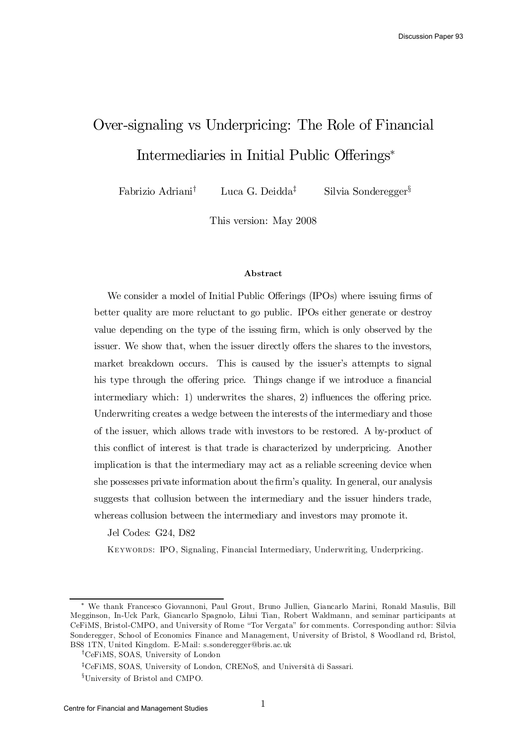# Over-signaling vs Underpricing: The Role of Financial Intermediaries in Initial Public Offerings<sup>\*</sup>

Fabrizio Adriani Luca G. Deidda<sup> $\ddagger$ </sup>  $\ddagger$  Silvia Sonderegger<sup>§</sup>

This version: May 2008

#### Abstract

We consider a model of Initial Public Offerings (IPOs) where issuing firms of better quality are more reluctant to go public. IPOs either generate or destroy value depending on the type of the issuing firm, which is only observed by the issuer. We show that, when the issuer directly offers the shares to the investors, market breakdown occurs. This is caused by the issuer's attempts to signal his type through the offering price. Things change if we introduce a financial intermediary which: 1) underwrites the shares, 2) influences the offering price. Underwriting creates a wedge between the interests of the intermediary and those of the issuer, which allows trade with investors to be restored. A by-product of this conflict of interest is that trade is characterized by underpricing. Another implication is that the intermediary may act as a reliable screening device when she possesses private information about the firm's quality. In general, our analysis suggests that collusion between the intermediary and the issuer hinders trade, whereas collusion between the intermediary and investors may promote it.

Jel Codes: G24, D82

Keywords: IPO, Signaling, Financial Intermediary, Underwriting, Underpricing.

<sup>¤</sup> We thank Francesco Giovannoni, Paul Grout, Bruno Jullien, Giancarlo Marini, Ronald Masulis, Bill Megginson, In-Uck Park, Giancarlo Spagnolo, Lihui Tian, Robert Waldmann, and seminar participants at CeFiMS, Bristol-CMPO, and University of Rome "Tor Vergata" for comments. Corresponding author: Silvia Sonderegger, School of Economics Finance and Management, University of Bristol, 8 Woodland rd, Bristol, BS8 1TN, United Kingdom. E-Mail: s.sonderegger@bris.ac.uk

<sup>&</sup>lt;sup>†</sup>CeFiMS, SOAS, University of London

<sup>&</sup>lt;sup>‡</sup>CeFiMS, SOAS, University of London, CRENoS, and Università di Sassari.

<sup>&</sup>lt;sup>§</sup>University of Bristol and CMPO.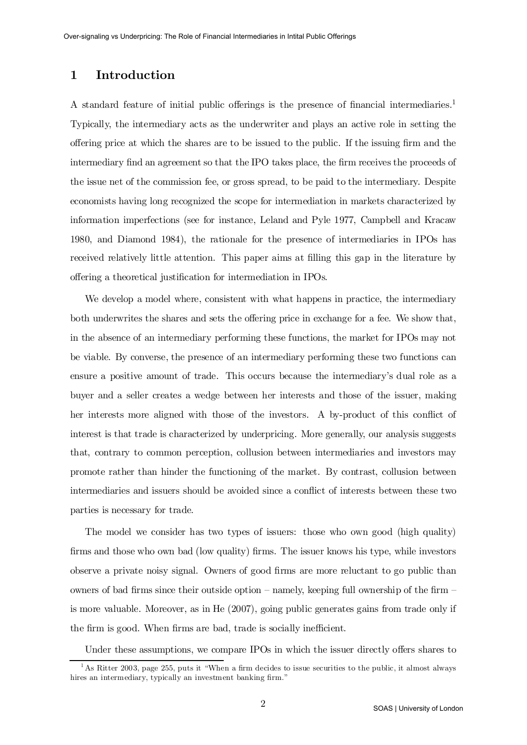# 1 Introduction

A standard feature of initial public offerings is the presence of financial intermediaries.<sup>1</sup> Typically, the intermediary acts as the underwriter and plays an active role in setting the offering price at which the shares are to be issued to the public. If the issuing firm and the intermediary find an agreement so that the IPO takes place, the firm receives the proceeds of the issue net of the commission fee, or gross spread, to be paid to the intermediary. Despite economists having long recognized the scope for intermediation in markets characterized by information imperfections (see for instance, Leland and Pyle 1977, Campbell and Kracaw 1980, and Diamond 1984), the rationale for the presence of intermediaries in IPOs has received relatively little attention. This paper aims at filling this gap in the literature by offering a theoretical justification for intermediation in IPOs.

We develop a model where, consistent with what happens in practice, the intermediary both underwrites the shares and sets the offering price in exchange for a fee. We show that, in the absence of an intermediary performing these functions, the market for IPOs may not be viable. By converse, the presence of an intermediary performing these two functions can ensure a positive amount of trade. This occurs because the intermediary's dual role as a buyer and a seller creates a wedge between her interests and those of the issuer, making her interests more aligned with those of the investors. A by-product of this conflict of interest is that trade is characterized by underpricing. More generally, our analysis suggests that, contrary to common perception, collusion between intermediaries and investors may promote rather than hinder the functioning of the market. By contrast, collusion between intermediaries and issuers should be avoided since a conflict of interests between these two parties is necessary for trade.

The model we consider has two types of issuers: those who own good (high quality) firms and those who own bad (low quality) firms. The issuer knows his type, while investors observe a private noisy signal. Owners of good firms are more reluctant to go public than owners of bad firms since their outside option – namely, keeping full ownership of the firm – is more valuable. Moreover, as in He (2007), going public generates gains from trade only if the firm is good. When firms are bad, trade is socially inefficient.

Under these assumptions, we compare IPOs in which the issuer directly offers shares to

<sup>&</sup>lt;sup>1</sup> As Ritter 2003, page 255, puts it "When a firm decides to issue securities to the public, it almost always hires an intermediary, typically an investment banking firm."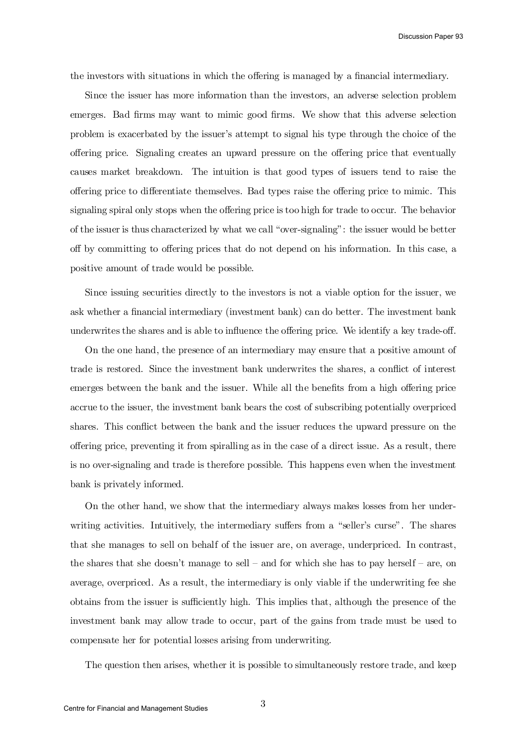the investors with situations in which the offering is managed by a financial intermediary.

Since the issuer has more information than the investors, an adverse selection problem emerges. Bad firms may want to mimic good firms. We show that this adverse selection problem is exacerbated by the issuer's attempt to signal his type through the choice of the offering price. Signaling creates an upward pressure on the offering price that eventually causes market breakdown. The intuition is that good types of issuers tend to raise the offering price to differentiate themselves. Bad types raise the offering price to mimic. This signaling spiral only stops when the offering price is too high for trade to occur. The behavior of the issuer is thus characterized by what we call "over-signaling": the issuer would be better off by committing to offering prices that do not depend on his information. In this case, a positive amount of trade would be possible.

Since issuing securities directly to the investors is not a viable option for the issuer, we ask whether a financial intermediary (investment bank) can do better. The investment bank underwrites the shares and is able to influence the offering price. We identify a key trade-off.

On the one hand, the presence of an intermediary may ensure that a positive amount of trade is restored. Since the investment bank underwrites the shares, a conflict of interest emerges between the bank and the issuer. While all the benefits from a high offering price accrue to the issuer, the investment bank bears the cost of subscribing potentially overpriced shares. This conflict between the bank and the issuer reduces the upward pressure on the offering price, preventing it from spiralling as in the case of a direct issue. As a result, there is no over-signaling and trade is therefore possible. This happens even when the investment bank is privately informed.

On the other hand, we show that the intermediary always makes losses from her underwriting activities. Intuitively, the intermediary suffers from a "seller's curse". The shares that she manages to sell on behalf of the issuer are, on average, underpriced. In contrast, the shares that she doesn't manage to sell – and for which she has to pay herself – are, on average, overpriced. As a result, the intermediary is only viable if the underwriting fee she obtains from the issuer is sufficiently high. This implies that, although the presence of the investment bank may allow trade to occur, part of the gains from trade must be used to compensate her for potential losses arising from underwriting.

The question then arises, whether it is possible to simultaneously restore trade, and keep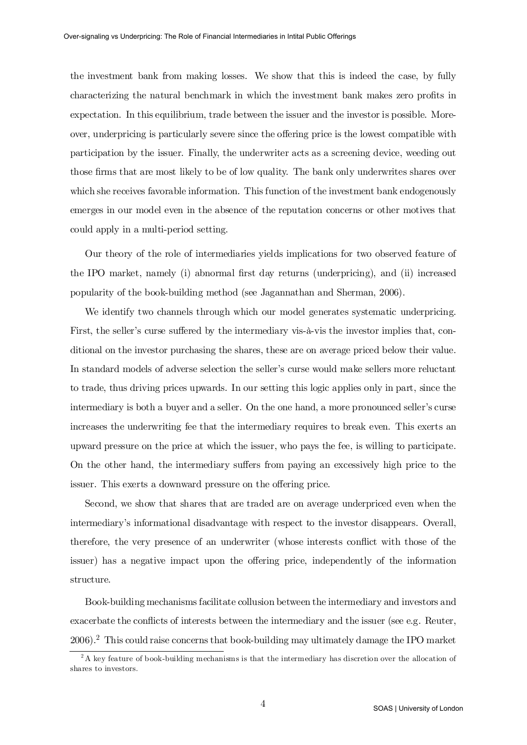the investment bank from making losses. We show that this is indeed the case, by fully characterizing the natural benchmark in which the investment bank makes zero profits in expectation. In this equilibrium, trade between the issuer and the investor is possible. Moreover, underpricing is particularly severe since the offering price is the lowest compatible with participation by the issuer. Finally, the underwriter acts as a screening device, weeding out those firms that are most likely to be of low quality. The bank only underwrites shares over which she receives favorable information. This function of the investment bank endogenously emerges in our model even in the absence of the reputation concerns or other motives that could apply in a multi-period setting.

Our theory of the role of intermediaries yields implications for two observed feature of the IPO market, namely (i) abnormal first day returns (underpricing), and (ii) increased popularity of the book-building method (see Jagannathan and Sherman, 2006).

We identify two channels through which our model generates systematic underpricing. First, the seller's curse suffered by the intermediary vis-à-vis the investor implies that, conditional on the investor purchasing the shares, these are on average priced below their value. In standard models of adverse selection the seller's curse would make sellers more reluctant to trade, thus driving prices upwards. In our setting this logic applies only in part, since the intermediary is both a buyer and a seller. On the one hand, a more pronounced seller's curse increases the underwriting fee that the intermediary requires to break even. This exerts an upward pressure on the price at which the issuer, who pays the fee, is willing to participate. On the other hand, the intermediary suffers from paying an excessively high price to the issuer. This exerts a downward pressure on the offering price.

Second, we show that shares that are traded are on average underpriced even when the intermediary's informational disadvantage with respect to the investor disappears. Overall, therefore, the very presence of an underwriter (whose interests conflict with those of the issuer) has a negative impact upon the offering price, independently of the information structure.

Book-building mechanisms facilitate collusion between the intermediary and investors and exacerbate the conflicts of interests between the intermediary and the issuer (see e.g. Reuter, 2006). <sup>2</sup> This could raise concerns that book-building may ultimately damage the IPO market

 $2A$  key feature of book-building mechanisms is that the intermediary has discretion over the allocation of shares to investors.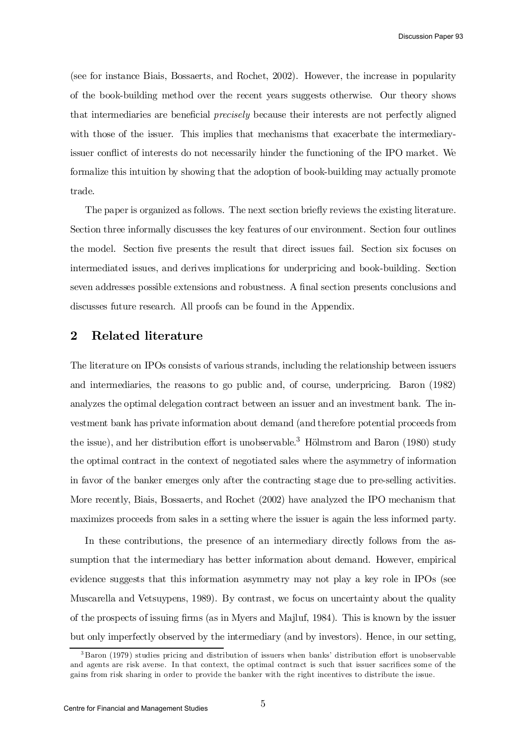(see for instance Biais, Bossaerts, and Rochet, 2002). However, the increase in popularity of the book-building method over the recent years suggests otherwise. Our theory shows that intermediaries are beneficial *precisely* because their interests are not perfectly aligned with those of the issuer. This implies that mechanisms that exacerbate the intermediaryissuer conflict of interests do not necessarily hinder the functioning of the IPO market. We formalize this intuition by showing that the adoption of book-building may actually promote trade.

The paper is organized as follows. The next section briefly reviews the existing literature. Section three informally discusses the key features of our environment. Section four outlines the model. Section five presents the result that direct issues fail. Section six focuses on intermediated issues, and derives implications for underpricing and book-building. Section seven addresses possible extensions and robustness. A final section presents conclusions and discusses future research. All proofs can be found in the Appendix.

# 2 Related literature

The literature on IPOs consists of various strands, including the relationship between issuers and intermediaries, the reasons to go public and, of course, underpricing. Baron (1982) analyzes the optimal delegation contract between an issuer and an investment bank. The investment bank has private information about demand (and therefore potential proceeds from the issue), and her distribution effort is unobservable.<sup>3</sup> Hölmstrom and Baron (1980) study the optimal contract in the context of negotiated sales where the asymmetry of information in favor of the banker emerges only after the contracting stage due to pre-selling activities. More recently, Biais, Bossaerts, and Rochet (2002) have analyzed the IPO mechanism that maximizes proceeds from sales in a setting where the issuer is again the less informed party.

In these contributions, the presence of an intermediary directly follows from the assumption that the intermediary has better information about demand. However, empirical evidence suggests that this information asymmetry may not play a key role in IPOs (see Muscarella and Vetsuypens, 1989). By contrast, we focus on uncertainty about the quality of the prospects of issuing firms (as in Myers and Majluf, 1984). This is known by the issuer but only imperfectly observed by the intermediary (and by investors). Hence, in our setting,

 $3$  Baron (1979) studies pricing and distribution of issuers when banks' distribution effort is unobservable and agents are risk averse. In that context, the optimal contract is such that issuer sacrifices some of the gains from risk sharing in order to provide the banker with the right incentives to distribute the issue.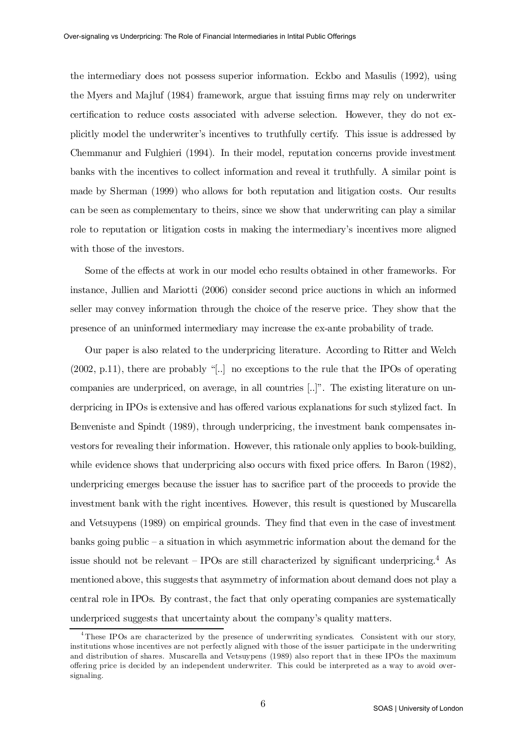the intermediary does not possess superior information. Eckbo and Masulis (1992), using the Myers and Majluf (1984) framework, argue that issuing firms may rely on underwriter certification to reduce costs associated with adverse selection. However, they do not explicitly model the underwriter's incentives to truthfully certify. This issue is addressed by Chemmanur and Fulghieri (1994). In their model, reputation concerns provide investment banks with the incentives to collect information and reveal it truthfully. A similar point is made by Sherman (1999) who allows for both reputation and litigation costs. Our results can be seen as complementary to theirs, since we show that underwriting can play a similar role to reputation or litigation costs in making the intermediary's incentives more aligned with those of the investors.

Some of the effects at work in our model echo results obtained in other frameworks. For instance, Jullien and Mariotti (2006) consider second price auctions in which an informed seller may convey information through the choice of the reserve price. They show that the presence of an uninformed intermediary may increase the ex-ante probability of trade.

Our paper is also related to the underpricing literature. According to Ritter and Welch (2002, p.11), there are probably "[..] no exceptions to the rule that the IPOs of operating companies are underpriced, on average, in all countries [..]". The existing literature on underpricing in IPOs is extensive and has offered various explanations for such stylized fact. In Benveniste and Spindt (1989), through underpricing, the investment bank compensates investors for revealing their information. However, this rationale only applies to book-building, while evidence shows that underpricing also occurs with fixed price offers. In Baron  $(1982)$ , underpricing emerges because the issuer has to sacrifice part of the proceeds to provide the investment bank with the right incentives. However, this result is questioned by Muscarella and Vetsuypens (1989) on empirical grounds. They find that even in the case of investment banks going public – a situation in which asymmetric information about the demand for the issue should not be relevant  $-$  IPOs are still characterized by significant underpricing.<sup>4</sup> As mentioned above, this suggests that asymmetry of information about demand does not play a central role in IPOs. By contrast, the fact that only operating companies are systematically underpriced suggests that uncertainty about the company's quality matters.

<sup>&</sup>lt;sup>4</sup> These IPOs are characterized by the presence of underwriting syndicates. Consistent with our story, institutions whose incentives are not perfectly aligned with those of the issuer participate in the underwriting and distribution of shares. Muscarella and Vetsuypens (1989) also report that in these IPOs the maximum offering price is decided by an independent underwriter. This could be interpreted as a way to avoid oversignaling.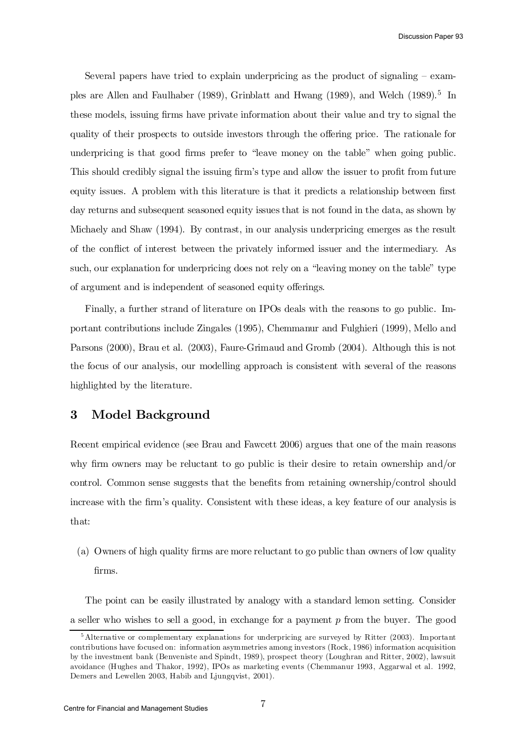Several papers have tried to explain underpricing as the product of signaling – examples are Allen and Faulhaber (1989), Grinblatt and Hwang (1989), and Welch (1989). 5 In these models, issuing firms have private information about their value and try to signal the quality of their prospects to outside investors through the offering price. The rationale for underpricing is that good firms prefer to "leave money on the table" when going public. This should credibly signal the issuing firm's type and allow the issuer to profit from future equity issues. A problem with this literature is that it predicts a relationship between first day returns and subsequent seasoned equity issues that is not found in the data, as shown by Michaely and Shaw (1994). By contrast, in our analysis underpricing emerges as the result of the conflict of interest between the privately informed issuer and the intermediary. As such, our explanation for underpricing does not rely on a "leaving money on the table" type of argument and is independent of seasoned equity offerings.

Finally, a further strand of literature on IPOs deals with the reasons to go public. Important contributions include Zingales (1995), Chemmanur and Fulghieri (1999), Mello and Parsons (2000), Brau et al. (2003), Faure-Grimaud and Gromb (2004). Although this is not the focus of our analysis, our modelling approach is consistent with several of the reasons highlighted by the literature.

# 3 Model Background

Recent empirical evidence (see Brau and Fawcett 2006) argues that one of the main reasons why firm owners may be reluctant to go public is their desire to retain ownership and/or control. Common sense suggests that the benefits from retaining ownership/control should increase with the firm's quality. Consistent with these ideas, a key feature of our analysis is that:

(a) Owners of high quality firms are more reluctant to go public than owners of low quality firms.

The point can be easily illustrated by analogy with a standard lemon setting. Consider a seller who wishes to sell a good, in exchange for a payment  $p$  from the buyer. The good

<sup>5</sup> Alternative or complementary explanations for underpricing are surveyed by Ritter (2003). Important contributions have focused on: information asymmetries among investors (Rock, 1986) information acquisition by the investment bank (Benveniste and Spindt, 1989), prospect theory (Loughran and Ritter, 2002), lawsuit avoidance (Hughes and Thakor, 1992), IPOs as marketing events (Chemmanur 1993, Aggarwal et al. 1992, Demers and Lewellen 2003, Habib and Ljungqvist, 2001).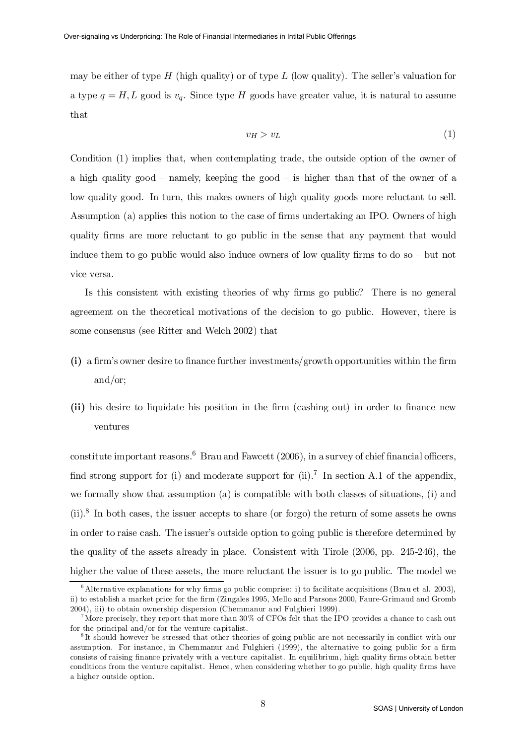may be either of type H (high quality) or of type L (low quality). The seller's valuation for a type  $q = H, L$  good is  $v_q$ . Since type H goods have greater value, it is natural to assume that

$$
v_H > v_L \tag{1}
$$

Condition (1) implies that, when contemplating trade, the outside option of the owner of a high quality good – namely, keeping the good – is higher than that of the owner of a low quality good. In turn, this makes owners of high quality goods more reluctant to sell. Assumption (a) applies this notion to the case of firms undertaking an IPO. Owners of high quality firms are more reluctant to go public in the sense that any payment that would induce them to go public would also induce owners of low quality firms to do so  $-$  but not vice versa.

Is this consistent with existing theories of why firms go public? There is no general agreement on the theoretical motivations of the decision to go public. However, there is some consensus (see Ritter and Welch 2002) that

- $(i)$  a firm's owner desire to finance further investments/growth opportunities within the firm and/or;
- (ii) his desire to liquidate his position in the firm (cashing out) in order to finance new ventures

constitute important reasons.<sup>6</sup> Brau and Fawcett (2006), in a survey of chief financial officers, find strong support for (i) and moderate support for (ii).<sup>7</sup> In section A.1 of the appendix, we formally show that assumption (a) is compatible with both classes of situations, (i) and  $(ii).$ <sup>8</sup> In both cases, the issuer accepts to share (or forgo) the return of some assets he owns in order to raise cash. The issuer's outside option to going public is therefore determined by the quality of the assets already in place. Consistent with Tirole (2006, pp. 245-246), the higher the value of these assets, the more reluctant the issuer is to go public. The model we

 $6$  Alternative explanations for why firms go public comprise: i) to facilitate acquisitions (Brau et al. 2003), ii) to establish a market price for the firm (Zingales 1995, Mello and Parsons 2000, Faure-Grimaud and Gromb 2004), iii) to obtain ownership dispersion (Chemmanur and Fulghieri 1999).

<sup>&</sup>lt;sup>7</sup> More precisely, they report that more than  $30\%$  of CFOs felt that the IPO provides a chance to cash out for the principal and/or for the venture capitalist.

<sup>&</sup>lt;sup>8</sup>It should however be stressed that other theories of going public are not necessarily in conflict with our assumption. For instance, in Chemmanur and Fulghieri (1999), the alternative to going public for a firm consists of raising finance privately with a venture capitalist. In equilibrium, high quality firms obtain better conditions from the venture capitalist. Hence, when considering whether to go public, high quality firms have a higher outside option.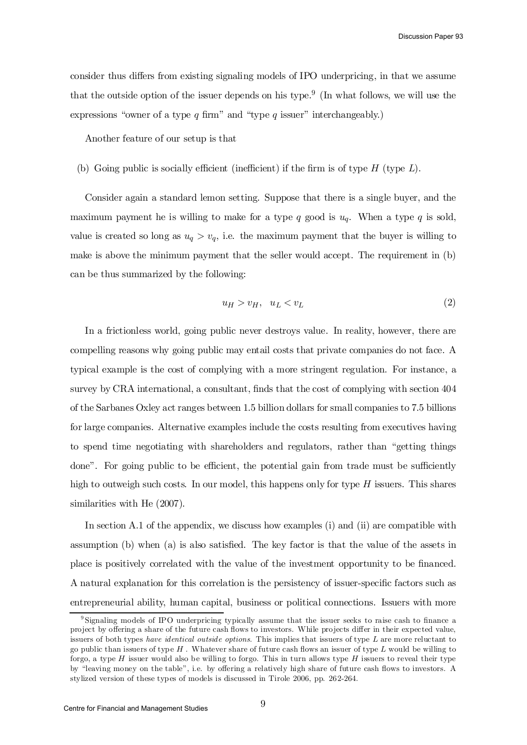Discussion Paper 93

consider thus differs from existing signaling models of IPO underpricing, in that we assume that the outside option of the issuer depends on his type.<sup>9</sup> (In what follows, we will use the expressions "owner of a type  $q$  firm" and "type  $q$  issuer" interchangeably.)

Another feature of our setup is that

(b) Going public is socially efficient (inefficient) if the firm is of type  $H$  (type  $L$ ).

Consider again a standard lemon setting. Suppose that there is a single buyer, and the maximum payment he is willing to make for a type q good is  $u_q$ . When a type q is sold, value is created so long as  $u_q > v_q$ , i.e. the maximum payment that the buyer is willing to make is above the minimum payment that the seller would accept. The requirement in (b) can be thus summarized by the following:

$$
u_H > v_H, \quad u_L < v_L \tag{2}
$$

In a frictionless world, going public never destroys value. In reality, however, there are compelling reasons why going public may entail costs that private companies do not face. A typical example is the cost of complying with a more stringent regulation. For instance, a survey by CRA international, a consultant, finds that the cost of complying with section 404 of the Sarbanes Oxley act ranges between 1:5 billion dollars for small companies to 7:5 billions for large companies. Alternative examples include the costs resulting from executives having to spend time negotiating with shareholders and regulators, rather than "getting things done". For going public to be efficient, the potential gain from trade must be sufficiently high to outweigh such costs. In our model, this happens only for type  $H$  issuers. This shares similarities with He (2007).

In section A.1 of the appendix, we discuss how examples (i) and (ii) are compatible with assumption  $(b)$  when  $(a)$  is also satisfied. The key factor is that the value of the assets in place is positively correlated with the value of the investment opportunity to be financed. A natural explanation for this correlation is the persistency of issuer-specific factors such as entrepreneurial ability, human capital, business or political connections. Issuers with more

<sup>&</sup>lt;sup>9</sup>Signaling models of IPO underpricing typically assume that the issuer seeks to raise cash to finance a project by offering a share of the future cash flows to investors. While projects differ in their expected value, issuers of both types have identical outside options. This implies that issuers of type L are more reluctant to go public than issuers of type  $H$ . Whatever share of future cash flows an issuer of type  $L$  would be willing to forgo, a type  $H$  issuer would also be willing to forgo. This in turn allows type  $H$  issuers to reveal their type by "leaving money on the table", i.e. by offering a relatively high share of future cash flows to investors. A stylized version of these types of models is discussed in Tirole 2006, pp. 262-264.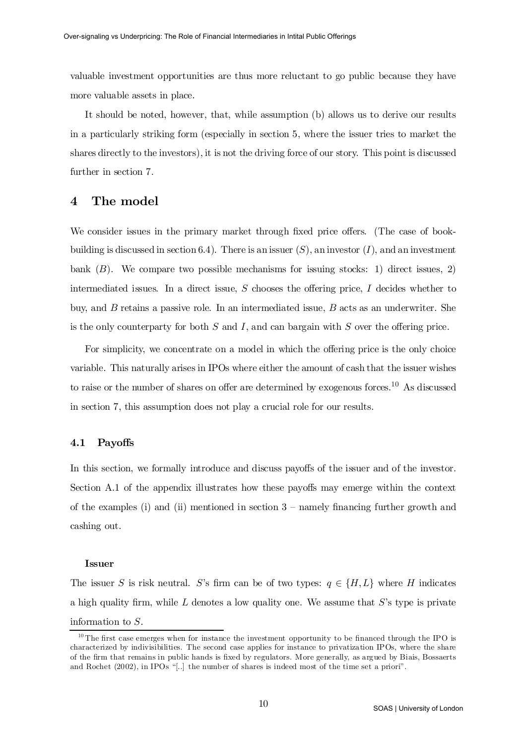valuable investment opportunities are thus more reluctant to go public because they have more valuable assets in place.

It should be noted, however, that, while assumption (b) allows us to derive our results in a particularly striking form (especially in section 5, where the issuer tries to market the shares directly to the investors), it is not the driving force of our story. This point is discussed further in section 7.

# 4 The model

We consider issues in the primary market through fixed price offers. (The case of bookbuilding is discussed in section 6.4). There is an issuer  $(S)$ , an investor  $(I)$ , and an investment bank  $(B)$ . We compare two possible mechanisms for issuing stocks: 1) direct issues, 2) intermediated issues. In a direct issue,  $S$  chooses the offering price,  $I$  decides whether to buy, and B retains a passive role. In an intermediated issue, B acts as an underwriter. She is the only counterparty for both  $S$  and  $I$ , and can bargain with  $S$  over the offering price.

For simplicity, we concentrate on a model in which the offering price is the only choice variable. This naturally arises in IPOs where either the amount of cash that the issuer wishes to raise or the number of shares on offer are determined by exogenous forces.<sup>10</sup> As discussed in section 7, this assumption does not play a crucial role for our results.

## 4.1 Payoffs

In this section, we formally introduce and discuss payoffs of the issuer and of the investor. Section A.1 of the appendix illustrates how these payoffs may emerge within the context of the examples (i) and (ii) mentioned in section  $3$  – namely financing further growth and cashing out.

#### Issuer

The issuer S is risk neutral. S's firm can be of two types:  $q \in \{H, L\}$  where H indicates a high quality firm, while  $L$  denotes a low quality one. We assume that  $S$ 's type is private information to S.

 $10$  The first case emerges when for instance the investment opportunity to be financed through the IPO is characterized by indivisibilities. The second case applies for instance to privatization IPOs, where the share of the firm that remains in public hands is fixed by regulators. More generally, as argued by Biais, Bossaerts and Rochet (2002), in IPOs "[..] the number of shares is indeed most of the time set a priori".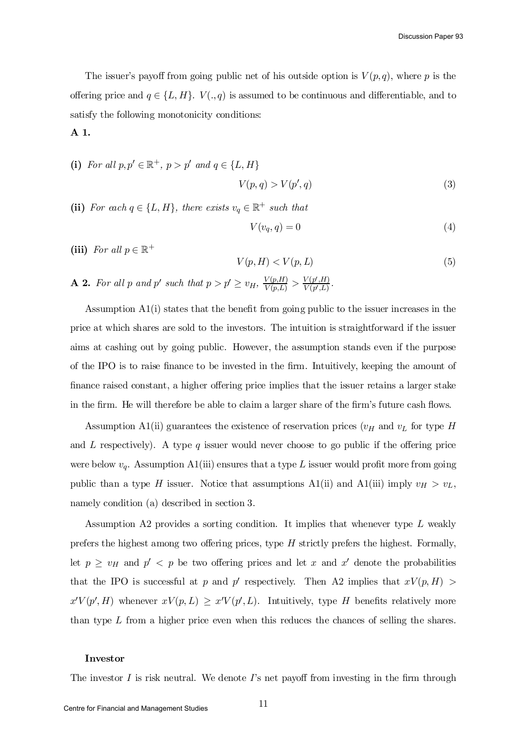The issuer's payoff from going public net of his outside option is  $V(p,q)$ , where p is the offering price and  $q \in \{L, H\}$ .  $V(., q)$  is assumed to be continuous and differentiable, and to satisfy the following monotonicity conditions:

## A 1.

- (i) For all  $p, p' \in \mathbb{R}^+, p > p'$  and  $q \in \{L, H\}$  $V(p,q) > V(p)$  $(s, q)$  (3)
- (ii) For each  $q \in \{L, H\}$ , there exists  $v_q \in \mathbb{R}^+$  such that

$$
V(v_q, q) = 0 \tag{4}
$$

(iii) For all  $p \in \mathbb{R}^+$ 

$$
V(p, H) < V(p, L) \tag{5}
$$
\n
$$
\mathbf{A} \mathbf{2.} \text{ For all } p \text{ and } p' \text{ such that } p > p' \ge v_H, \frac{V(p, H)}{V(p, L)} > \frac{V(p', H)}{V(p', L)}.
$$

Assumption  $A_1(i)$  states that the benefit from going public to the issuer increases in the price at which shares are sold to the investors. The intuition is straightforward if the issuer aims at cashing out by going public. However, the assumption stands even if the purpose of the IPO is to raise finance to be invested in the firm. Intuitively, keeping the amount of finance raised constant, a higher offering price implies that the issuer retains a larger stake in the firm. He will therefore be able to claim a larger share of the firm's future cash flows.

Assumption A1(ii) guarantees the existence of reservation prices  $(v_H$  and  $v_L$  for type H and  $L$  respectively). A type  $q$  issuer would never choose to go public if the offering price were below  $v_q$ . Assumption A1(iii) ensures that a type L issuer would profit more from going public than a type H issuer. Notice that assumptions A1(ii) and A1(iii) imply  $v_H > v_L$ , namely condition (a) described in section 3.

Assumption A2 provides a sorting condition. It implies that whenever type L weakly prefers the highest among two offering prices, type  $H$  strictly prefers the highest. Formally, let  $p \geq v_H$  and  $p' < p$  be two offering prices and let x and x' denote the probabilities that the IPO is successful at p and p' respectively. Then A2 implies that  $xV(p,H)$  $x'V(p', H)$  whenever  $xV(p, L) \geq x'V(p', L)$ . Intuitively, type H benefits relatively more than type  $L$  from a higher price even when this reduces the chances of selling the shares.

#### Investor

The investor I is risk neutral. We denote  $\Gamma$ 's net payoff from investing in the firm through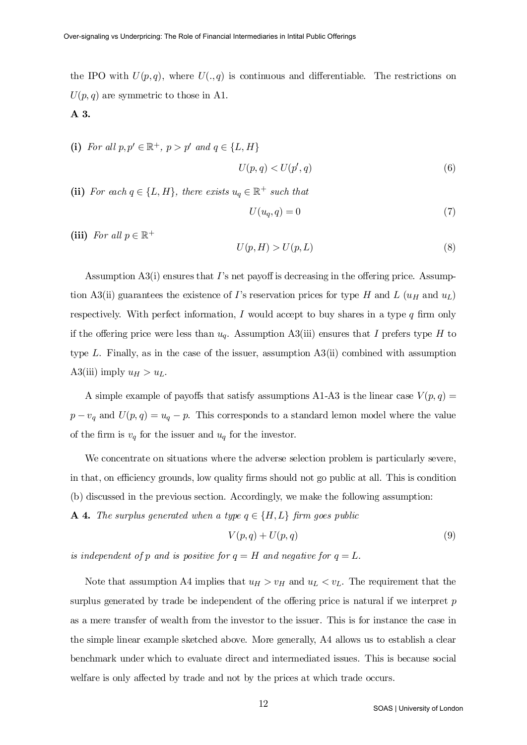the IPO with  $U(p,q)$ , where  $U(.,q)$  is continuous and differentiable. The restrictions on  $U(p,q)$  are symmetric to those in A1. A 3.

(i) For all  $p, p' \in \mathbb{R}^+, p > p'$  and  $q \in \{L, H\}$ 

$$
U(p,q) < U(p',q) \tag{6}
$$

(ii) For each  $q \in \{L, H\}$ , there exists  $u_q \in \mathbb{R}^+$  such that

$$
U(u_q, q) = 0 \tag{7}
$$

(iii) For all  $p \in \mathbb{R}^+$ 

$$
U(p, H) > U(p, L) \tag{8}
$$

Assumption  $A3(i)$  ensures that I's net payoff is decreasing in the offering price. Assumption A3(ii) guarantees the existence of I's reservation prices for type H and L  $(u_H$  and  $u_L$ ) respectively. With perfect information, I would accept to buy shares in a type  $q$  firm only if the offering price were less than  $u_q$ . Assumption A3(iii) ensures that I prefers type H to type L. Finally, as in the case of the issuer, assumption  $A3(ii)$  combined with assumption A3(iii) imply  $u_H > u_L$ .

A simple example of payoffs that satisfy assumptions A1-A3 is the linear case  $V(p, q)$  =  $p - v_q$  and  $U(p, q) = u_q - p$ . This corresponds to a standard lemon model where the value of the firm is  $v_q$  for the issuer and  $u_q$  for the investor.

We concentrate on situations where the adverse selection problem is particularly severe, in that, on efficiency grounds, low quality firms should not go public at all. This is condition (b) discussed in the previous section. Accordingly, we make the following assumption:

**A 4.** The surplus generated when a type  $q \in \{H,L\}$  firm goes public

$$
V(p,q) + U(p,q) \tag{9}
$$

is independent of p and is positive for  $q = H$  and negative for  $q = L$ .

Note that assumption A4 implies that  $u_H > v_H$  and  $u_L < v_L$ . The requirement that the surplus generated by trade be independent of the offering price is natural if we interpret  $p$ as a mere transfer of wealth from the investor to the issuer. This is for instance the case in the simple linear example sketched above. More generally, A4 allows us to establish a clear benchmark under which to evaluate direct and intermediated issues. This is because social welfare is only affected by trade and not by the prices at which trade occurs.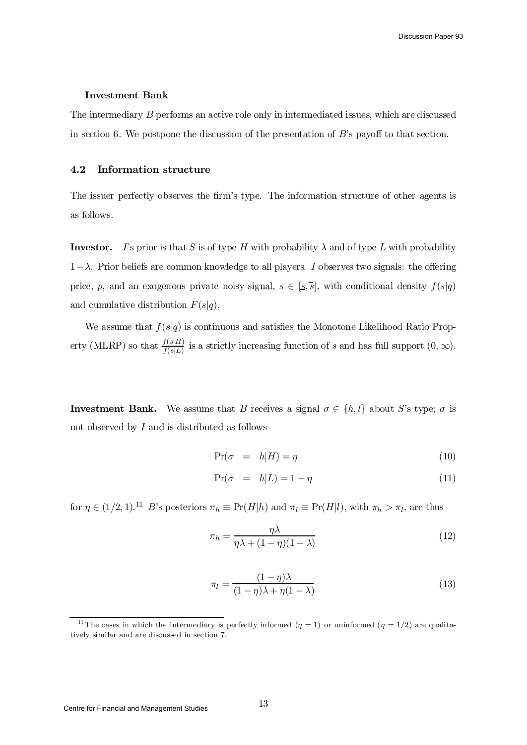#### Investment Bank

The intermediary B performs an active role only in intermediated issues, which are discussed in section 6. We postpone the discussion of the presentation of  $B$ 's payoff to that section.

## 4.2 Information structure

The issuer perfectly observes the firm's type. The information structure of other agents is as follows.

**Investor.** I's prior is that S is of type H with probability  $\lambda$  and of type L with probability  $1-\lambda$ . Prior beliefs are common knowledge to all players. I observes two signals: the offering price, p, and an exogenous private noisy signal,  $s \in [s, \overline{s}]$ , with conditional density  $f(s|q)$ and cumulative distribution  $F(s|q)$ .

We assume that  $f(s|q)$  is continuous and satisfies the Monotone Likelihood Ratio Property (MLRP) so that  $\frac{f(s|H)}{f(s|L)}$  $\frac{f(s|H)}{f(s|L)}$  is a strictly increasing function of s and has full support  $(0, \infty)$ .

**Investment Bank.** We assume that B receives a signal  $\sigma \in \{h, l\}$  about S's type;  $\sigma$  is not observed by  $I$  and is distributed as follows

$$
\Pr(\sigma = h|H) = \eta \tag{10}
$$

$$
\Pr(\sigma = h|L) = 1 - \eta \tag{11}
$$

for  $\eta \in (1/2, 1).$ <sup>11</sup> B's posteriors  $\pi_h \equiv \Pr(H|h)$  and  $\pi_l \equiv \Pr(H|l)$ , with  $\pi_h > \pi_l$ , are thus

$$
\pi_h = \frac{\eta \lambda}{\eta \lambda + (1 - \eta)(1 - \lambda)}\tag{12}
$$

$$
\pi_l = \frac{(1 - \eta)\lambda}{(1 - \eta)\lambda + \eta(1 - \lambda)}\tag{13}
$$

<sup>&</sup>lt;sup>11</sup> The cases in which the intermediary is perfectly informed  $(\eta = 1)$  or uninformed  $(\eta = 1/2)$  are qualitatively similar and are discussed in section 7.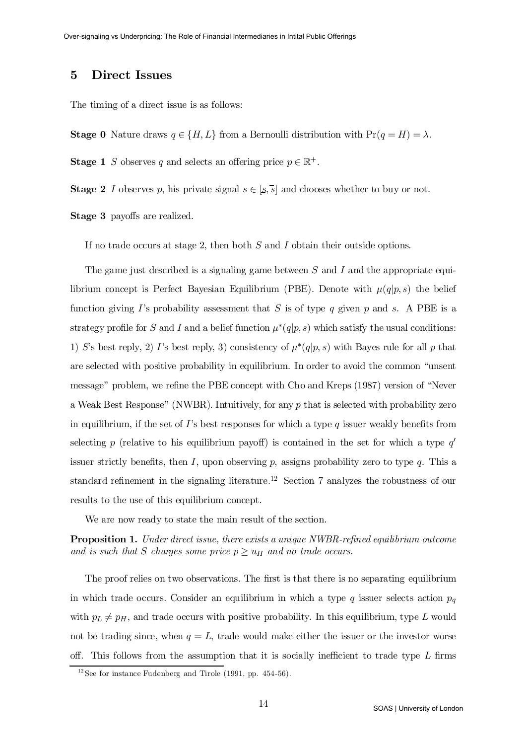# 5 Direct Issues

The timing of a direct issue is as follows:

**Stage 0** Nature draws  $q \in \{H, L\}$  from a Bernoulli distribution with  $Pr(q = H) = \lambda$ .

**Stage 1** S observes q and selects an offering price  $p \in \mathbb{R}^+$ .

**Stage 2** I observes p, his private signal  $s \in [s, \overline{s}]$  and chooses whether to buy or not.

Stage 3 payoffs are realized.

If no trade occurs at stage 2, then both S and I obtain their outside options.

The game just described is a signaling game between S and I and the appropriate equilibrium concept is Perfect Bayesian Equilibrium (PBE). Denote with  $\mu(q|p,s)$  the belief function giving I's probability assessment that S is of type q given p and s. A PBE is a strategy profile for S and I and a belief function  $\mu^*(q|p,s)$  which satisfy the usual conditions: 1) S's best reply, 2) I's best reply, 3) consistency of  $\mu^*(q|p,s)$  with Bayes rule for all p that are selected with positive probability in equilibrium. In order to avoid the common "unsent message" problem, we refine the PBE concept with Cho and Kreps (1987) version of "Never a Weak Best Response" (NWBR). Intuitively, for any p that is selected with probability zero in equilibrium, if the set of I's best responses for which a type q issuer weakly benefits from selecting p (relative to his equilibrium payoff) is contained in the set for which a type  $q'$ issuer strictly benefits, then I, upon observing p, assigns probability zero to type q. This a standard refinement in the signaling literature.<sup>12</sup> Section 7 analyzes the robustness of our results to the use of this equilibrium concept.

We are now ready to state the main result of the section.

**Proposition 1.** Under direct issue, there exists a unique NWBR-refined equilibrium outcome and is such that S charges some price  $p \geq u_H$  and no trade occurs.

The proof relies on two observations. The first is that there is no separating equilibrium in which trade occurs. Consider an equilibrium in which a type q issuer selects action  $p<sub>q</sub>$ with  $p_L \neq p_H$ , and trade occurs with positive probability. In this equilibrium, type L would not be trading since, when  $q = L$ , trade would make either the issuer or the investor worse off. This follows from the assumption that it is socially inefficient to trade type  $L$  firms

 $12$  See for instance Fudenberg and Tirole (1991, pp. 454-56).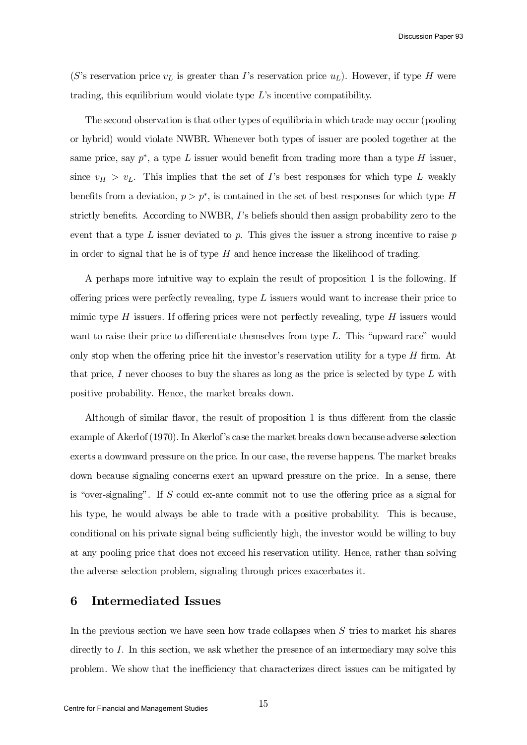Discussion Paper 93

(S's reservation price  $v<sub>L</sub>$  is greater than I's reservation price  $u<sub>L</sub>$ ). However, if type H were trading, this equilibrium would violate type L's incentive compatibility.

The second observation is that other types of equilibria in which trade may occur (pooling or hybrid) would violate NWBR. Whenever both types of issuer are pooled together at the same price, say  $p^*$ , a type L issuer would benefit from trading more than a type H issuer, since  $v_H > v_L$ . This implies that the set of I's best responses for which type L weakly benefits from a deviation,  $p > p^*$ , is contained in the set of best responses for which type H strictly benefits. According to NWBR,  $I$ 's beliefs should then assign probability zero to the event that a type  $L$  issuer deviated to  $p$ . This gives the issuer a strong incentive to raise  $p$ in order to signal that he is of type  $H$  and hence increase the likelihood of trading.

A perhaps more intuitive way to explain the result of proposition 1 is the following. If offering prices were perfectly revealing, type  $L$  issuers would want to increase their price to mimic type H issuers. If offering prices were not perfectly revealing, type H issuers would want to raise their price to differentiate themselves from type  $L$ . This "upward race" would only stop when the offering price hit the investor's reservation utility for a type  $H$  firm. At that price, I never chooses to buy the shares as long as the price is selected by type  $L$  with positive probability. Hence, the market breaks down.

Although of similar flavor, the result of proposition  $1$  is thus different from the classic example of Akerlof(1970). In Akerlof's case the market breaks down because adverse selection exerts a downward pressure on the price. In our case, the reverse happens. The market breaks down because signaling concerns exert an upward pressure on the price. In a sense, there is "over-signaling". If  $S$  could ex-ante commit not to use the offering price as a signal for his type, he would always be able to trade with a positive probability. This is because, conditional on his private signal being sufficiently high, the investor would be willing to buy at any pooling price that does not exceed his reservation utility. Hence, rather than solving the adverse selection problem, signaling through prices exacerbates it.

# 6 Intermediated Issues

In the previous section we have seen how trade collapses when  $S$  tries to market his shares directly to I. In this section, we ask whether the presence of an intermediary may solve this problem. We show that the inefficiency that characterizes direct issues can be mitigated by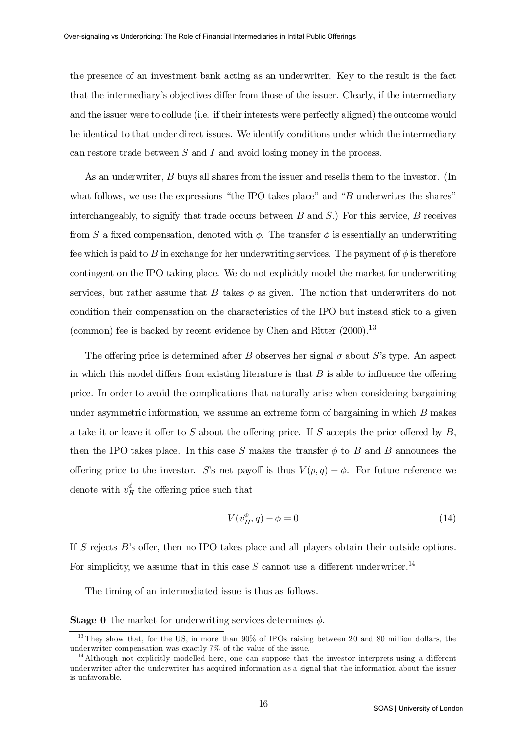the presence of an investment bank acting as an underwriter. Key to the result is the fact that the intermediary's objectives differ from those of the issuer. Clearly, if the intermediary and the issuer were to collude (i.e. if their interests were perfectly aligned) the outcome would be identical to that under direct issues. We identify conditions under which the intermediary can restore trade between  $S$  and  $I$  and avoid losing money in the process.

As an underwriter, B buys all shares from the issuer and resells them to the investor. (In what follows, we use the expressions "the IPO takes place" and "B underwrites the shares" interchangeably, to signify that trade occurs between  $B$  and  $S$ .) For this service,  $B$  receives from S a fixed compensation, denoted with  $\phi$ . The transfer  $\phi$  is essentially an underwriting fee which is paid to B in exchange for her underwriting services. The payment of  $\phi$  is therefore contingent on the IPO taking place. We do not explicitly model the market for underwriting services, but rather assume that  $B$  takes  $\phi$  as given. The notion that underwriters do not condition their compensation on the characteristics of the IPO but instead stick to a given (common) fee is backed by recent evidence by Chen and Ritter  $(2000).$ <sup>13</sup>

The offering price is determined after B observes her signal  $\sigma$  about S's type. An aspect in which this model differs from existing literature is that  $B$  is able to influence the offering price. In order to avoid the complications that naturally arise when considering bargaining under asymmetric information, we assume an extreme form of bargaining in which  $B$  makes a take it or leave it offer to S about the offering price. If S accepts the price offered by  $B$ , then the IPO takes place. In this case S makes the transfer  $\phi$  to B and B announces the offering price to the investor. S's net payoff is thus  $V(p,q) - \phi$ . For future reference we denote with  $v_H^{\phi}$  the offering price such that

$$
V(v_H^{\phi}, q) - \phi = 0 \tag{14}
$$

If  $S$  rejects  $B$ 's offer, then no IPO takes place and all players obtain their outside options. For simplicity, we assume that in this case S cannot use a different underwriter.<sup>14</sup>

The timing of an intermediated issue is thus as follows.

**Stage 0** the market for underwriting services determines  $\phi$ .

<sup>&</sup>lt;sup>13</sup> They show that, for the US, in more than 90% of IPOs raising between 20 and 80 million dollars, the underwriter compensation was exactly 7% of the value of the issue.

 $14$  Although not explicitly modelled here, one can suppose that the investor interprets using a different underwriter after the underwriter has acquired information as a signal that the information about the issuer is unfavorable.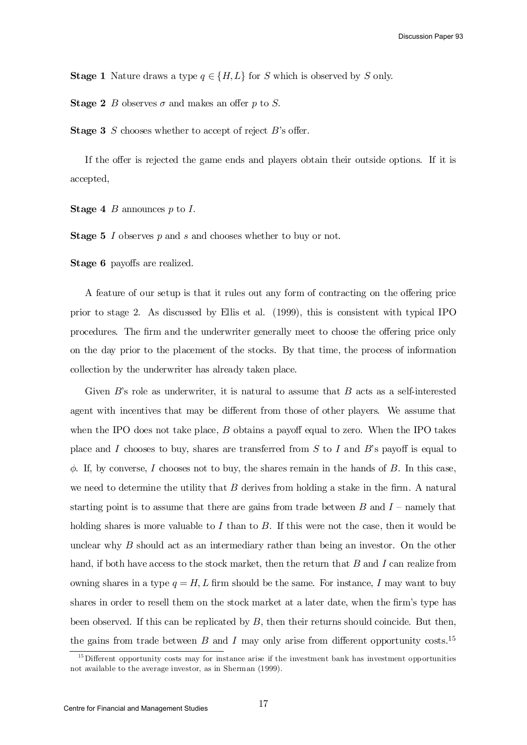**Stage 1** Nature draws a type  $q \in \{H, L\}$  for S which is observed by S only.

**Stage 2** B observes  $\sigma$  and makes an offer p to S.

**Stage 3** S chooses whether to accept of reject  $B$ 's offer.

If the offer is rejected the game ends and players obtain their outside options. If it is accepted,

**Stage 4** B announces  $p$  to I.

**Stage 5**  $I$  observes  $p$  and  $s$  and chooses whether to buy or not.

Stage 6 payoffs are realized.

A feature of our setup is that it rules out any form of contracting on the offering price prior to stage 2. As discussed by Ellis et al. (1999), this is consistent with typical IPO procedures. The firm and the underwriter generally meet to choose the offering price only on the day prior to the placement of the stocks. By that time, the process of information collection by the underwriter has already taken place.

Given  $B$ 's role as underwriter, it is natural to assume that  $B$  acts as a self-interested agent with incentives that may be different from those of other players. We assume that when the IPO does not take place,  $B$  obtains a payoff equal to zero. When the IPO takes place and I chooses to buy, shares are transferred from  $S$  to I and  $B$ 's payoff is equal to  $\phi$ . If, by converse, I chooses not to buy, the shares remain in the hands of B. In this case, we need to determine the utility that  $B$  derives from holding a stake in the firm. A natural starting point is to assume that there are gains from trade between  $B$  and  $I$  – namely that holding shares is more valuable to  $I$  than to  $B$ . If this were not the case, then it would be unclear why  $B$  should act as an intermediary rather than being an investor. On the other hand, if both have access to the stock market, then the return that  $B$  and  $I$  can realize from owning shares in a type  $q = H, L$  firm should be the same. For instance, I may want to buy shares in order to resell them on the stock market at a later date, when the firm's type has been observed. If this can be replicated by  $B$ , then their returns should coincide. But then, the gains from trade between  $B$  and  $I$  may only arise from different opportunity costs.<sup>15</sup>

 $15$  Different opportunity costs may for instance arise if the investment bank has investment opportunities not available to the average investor, as in Sherman (1999).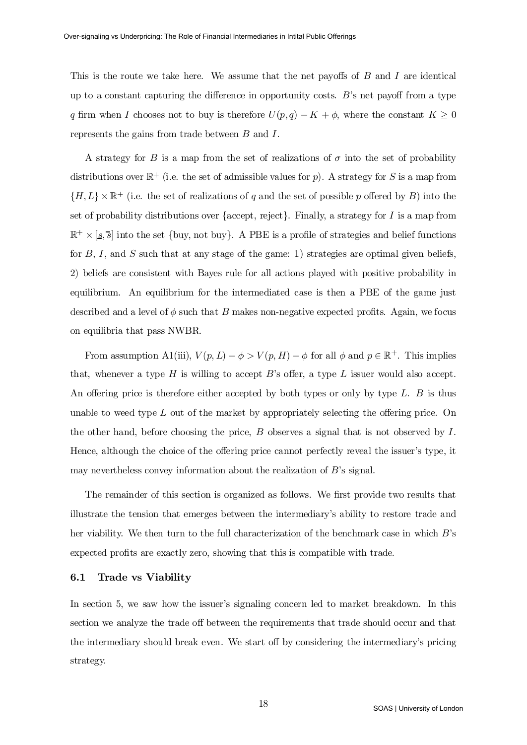This is the route we take here. We assume that the net payoffs of  $B$  and  $I$  are identical up to a constant capturing the difference in opportunity costs.  $B$ 's net payoff from a type q firm when I chooses not to buy is therefore  $U(p,q) - K + \phi$ , where the constant  $K \geq 0$ represents the gains from trade between B and I.

A strategy for B is a map from the set of realizations of  $\sigma$  into the set of probability distributions over  $\mathbb{R}^+$  (i.e. the set of admissible values for p). A strategy for S is a map from  $\{H, L\} \times \mathbb{R}^+$  (i.e. the set of realizations of q and the set of possible p offered by B) into the set of probability distributions over {accept, reject}. Finally, a strategy for  $I$  is a map from  $\mathbb{R}^+ \times [s, \overline{s}]$  into the set {buy, not buy}. A PBE is a profile of strategies and belief functions for  $B, I$ , and  $S$  such that at any stage of the game: 1) strategies are optimal given beliefs, 2) beliefs are consistent with Bayes rule for all actions played with positive probability in equilibrium. An equilibrium for the intermediated case is then a PBE of the game just described and a level of  $\phi$  such that B makes non-negative expected profits. Again, we focus on equilibria that pass NWBR.

From assumption A1(iii),  $V(p, L) - \phi > V(p, H) - \phi$  for all  $\phi$  and  $p \in \mathbb{R}^+$ . This implies that, whenever a type H is willing to accept  $B$ 's offer, a type L issuer would also accept. An offering price is therefore either accepted by both types or only by type  $L$ . B is thus unable to weed type  $L$  out of the market by appropriately selecting the offering price. On the other hand, before choosing the price,  $B$  observes a signal that is not observed by  $I$ . Hence, although the choice of the offering price cannot perfectly reveal the issuer's type, it may nevertheless convey information about the realization of B's signal.

The remainder of this section is organized as follows. We first provide two results that illustrate the tension that emerges between the intermediary's ability to restore trade and her viability. We then turn to the full characterization of the benchmark case in which B's expected profits are exactly zero, showing that this is compatible with trade.

## 6.1 Trade vs Viability

In section 5, we saw how the issuer's signaling concern led to market breakdown. In this section we analyze the trade off between the requirements that trade should occur and that the intermediary should break even. We start off by considering the intermediary's pricing strategy.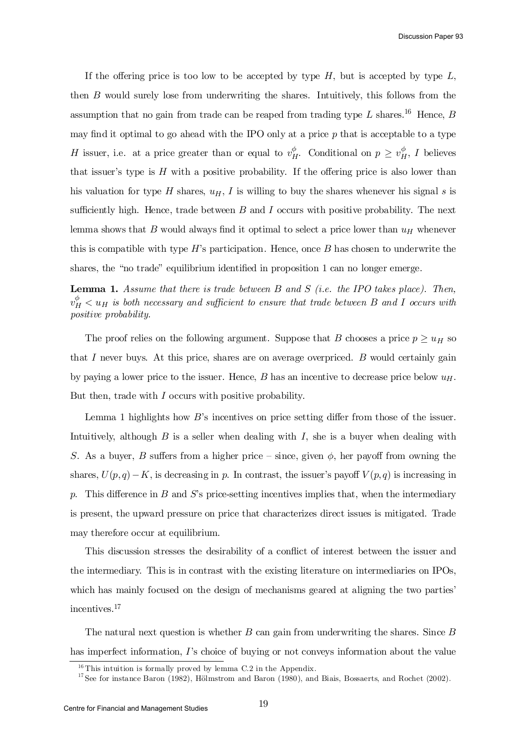If the offering price is too low to be accepted by type  $H$ , but is accepted by type  $L$ , then B would surely lose from underwriting the shares. Intuitively, this follows from the assumption that no gain from trade can be reaped from trading type L shares.<sup>16</sup> Hence, B may find it optimal to go ahead with the IPO only at a price  $p$  that is acceptable to a type H issuer, i.e. at a price greater than or equal to  $v_H^{\phi}$ . Conditional on  $p \geq v_H^{\phi}$ , I believes that issuer's type is  $H$  with a positive probability. If the offering price is also lower than his valuation for type H shares,  $u_H$ , I is willing to buy the shares whenever his signal s is sufficiently high. Hence, trade between  $B$  and  $I$  occurs with positive probability. The next lemma shows that  $B$  would always find it optimal to select a price lower than  $u_H$  whenever this is compatible with type  $H$ 's participation. Hence, once  $B$  has chosen to underwrite the shares, the "no trade" equilibrium identified in proposition  $1$  can no longer emerge.

**Lemma 1.** Assume that there is trade between  $B$  and  $S$  (i.e. the IPO takes place). Then,  $v_{H}^{\phi} < u_{H}$  is both necessary and sufficient to ensure that trade between B and I occurs with positive probability.

The proof relies on the following argument. Suppose that B chooses a price  $p \geq u_H$  so that I never buys. At this price, shares are on average overpriced.  $B$  would certainly gain by paying a lower price to the issuer. Hence,  $B$  has an incentive to decrease price below  $u_H$ . But then, trade with I occurs with positive probability.

Lemma 1 highlights how  $B$ 's incentives on price setting differ from those of the issuer. Intuitively, although  $B$  is a seller when dealing with  $I$ , she is a buyer when dealing with S. As a buyer, B suffers from a higher price – since, given  $\phi$ , her payoff from owning the shares,  $U(p,q) - K$ , is decreasing in p. In contrast, the issuer's payoff  $V(p,q)$  is increasing in p. This difference in B and S's price-setting incentives implies that, when the intermediary is present, the upward pressure on price that characterizes direct issues is mitigated. Trade may therefore occur at equilibrium.

This discussion stresses the desirability of a conflict of interest between the issuer and the intermediary. This is in contrast with the existing literature on intermediaries on IPOs, which has mainly focused on the design of mechanisms geared at aligning the two parties' incentives. 17

The natural next question is whether  $B$  can gain from underwriting the shares. Since  $B$ has imperfect information, I's choice of buying or not conveys information about the value

 $16$  This intuition is formally proved by lemma C.2 in the Appendix.

<sup>&</sup>lt;sup>17</sup> See for instance Baron (1982), Hölmstrom and Baron (1980), and Biais, Bossaerts, and Rochet (2002).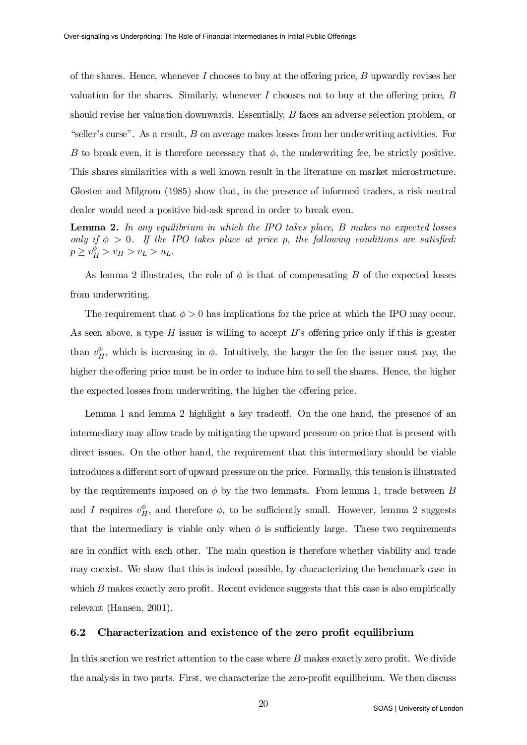of the shares. Hence, whenever I chooses to buy at the offering price, B upwardly revises her valuation for the shares. Similarly, whenever  $I$  chooses not to buy at the offering price,  $B$ should revise her valuation downwards. Essentially, B faces an adverse selection problem, or "seller's curse". As a result,  $B$  on average makes losses from her underwriting activities. For B to break even, it is therefore necessary that  $\phi$ , the underwriting fee, be strictly positive. This shares similarities with a well known result in the literature on market microstructure. Glosten and Milgrom (1985) show that, in the presence of informed traders, a risk neutral dealer would need a positive bid-ask spread in order to break even.

**Lemma 2.** In any equilibrium in which the IPO takes place,  $B$  makes no expected losses only if  $\phi > 0$ . If the IPO takes place at price p, the following conditions are satisfied:  $p \ge v_H^{\phi} > v_H > v_L > u_L.$ 

As lemma 2 illustrates, the role of  $\phi$  is that of compensating B of the expected losses from underwriting.

The requirement that  $\phi > 0$  has implications for the price at which the IPO may occur. As seen above, a type  $H$  issuer is willing to accept  $B$ 's offering price only if this is greater than  $v^\phi_B$  $_H^{\varphi}$ , which is increasing in  $\phi$ . Intuitively, the larger the fee the issuer must pay, the higher the offering price must be in order to induce him to sell the shares. Hence, the higher the expected losses from underwriting, the higher the offering price.

Lemma 1 and lemma 2 highlight a key tradeoff. On the one hand, the presence of an intermediary may allow trade by mitigating the upward pressure on price that is present with direct issues. On the other hand, the requirement that this intermediary should be viable introduces a different sort of upward pressure on the price. Formally, this tension is illustrated by the requirements imposed on  $\phi$  by the two lemmata. From lemma 1, trade between B and I requires  $v_H^{\phi}$ , and therefore  $\phi$ , to be sufficiently small. However, lemma 2 suggests that the intermediary is viable only when  $\phi$  is sufficiently large. These two requirements are in conflict with each other. The main question is therefore whether viability and trade may coexist. We show that this is indeed possible, by characterizing the benchmark case in which  $B$  makes exactly zero profit. Recent evidence suggests that this case is also empirically relevant (Hansen, 2001).

#### 6.2 Characterization and existence of the zero profit equilibrium

In this section we restrict attention to the case where  $B$  makes exactly zero profit. We divide the analysis in two parts. First, we characterize the zero-profit equilibrium. We then discuss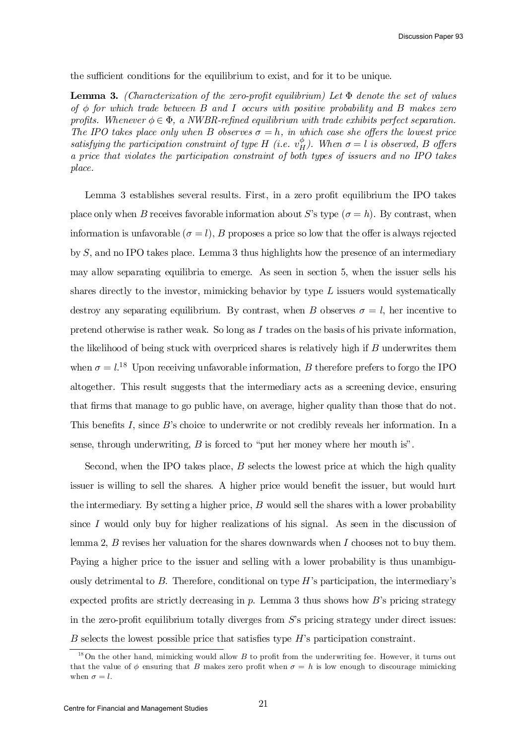the sufficient conditions for the equilibrium to exist, and for it to be unique.

**Lemma 3.** (Characterization of the zero-profit equilibrium) Let  $\Phi$  denote the set of values of  $\phi$  for which trade between B and I occurs with positive probability and B makes zero profits. Whenever  $\phi \in \Phi$ , a NWBR-refined equilibrium with trade exhibits perfect separation. The IPO takes place only when B observes  $\sigma = h$ , in which case she offers the lowest price satisfying the participation constraint of type H (i.e.  $v_H^{\phi}$ )  $_{H}^{\varphi}$ ). When  $\sigma = l$  is observed, B offers a price that violates the participation constraint of both types of issuers and no IPO takes place.

Lemma 3 establishes several results. First, in a zero profit equilibrium the IPO takes place only when B receives favorable information about S's type  $(\sigma = h)$ . By contrast, when information is unfavorable  $(\sigma = l)$ , B proposes a price so low that the offer is always rejected by S, and no IPO takes place. Lemma 3 thus highlights how the presence of an intermediary may allow separating equilibria to emerge. As seen in section 5, when the issuer sells his shares directly to the investor, mimicking behavior by type  $L$  issuers would systematically destroy any separating equilibrium. By contrast, when B observes  $\sigma = l$ , her incentive to pretend otherwise is rather weak. So long as  $I$  trades on the basis of his private information, the likelihood of being stuck with overpriced shares is relatively high if  $B$  underwrites them when  $\sigma = l^{18}$  Upon receiving unfavorable information, B therefore prefers to forgo the IPO altogether. This result suggests that the intermediary acts as a screening device, ensuring that firms that manage to go public have, on average, higher quality than those that do not. This benefits I, since  $B$ 's choice to underwrite or not credibly reveals her information. In a sense, through underwriting,  $B$  is forced to "put her money where her mouth is".

Second, when the IPO takes place,  $B$  selects the lowest price at which the high quality issuer is willing to sell the shares. A higher price would benefit the issuer, but would hurt the intermediary. By setting a higher price,  $B$  would sell the shares with a lower probability since I would only buy for higher realizations of his signal. As seen in the discussion of lemma 2,  $B$  revises her valuation for the shares downwards when  $I$  chooses not to buy them. Paying a higher price to the issuer and selling with a lower probability is thus unambiguously detrimental to  $B$ . Therefore, conditional on type  $H$ 's participation, the intermediary's expected profits are strictly decreasing in p. Lemma 3 thus shows how  $B$ 's pricing strategy in the zero-profit equilibrium totally diverges from  $S$ 's pricing strategy under direct issues:  $B$  selects the lowest possible price that satisfies type  $H$ 's participation constraint.

 $18$  On the other hand, mimicking would allow B to profit from the underwriting fee. However, it turns out that the value of  $\phi$  ensuring that B makes zero profit when  $\sigma = h$  is low enough to discourage mimicking when  $\sigma = l$ .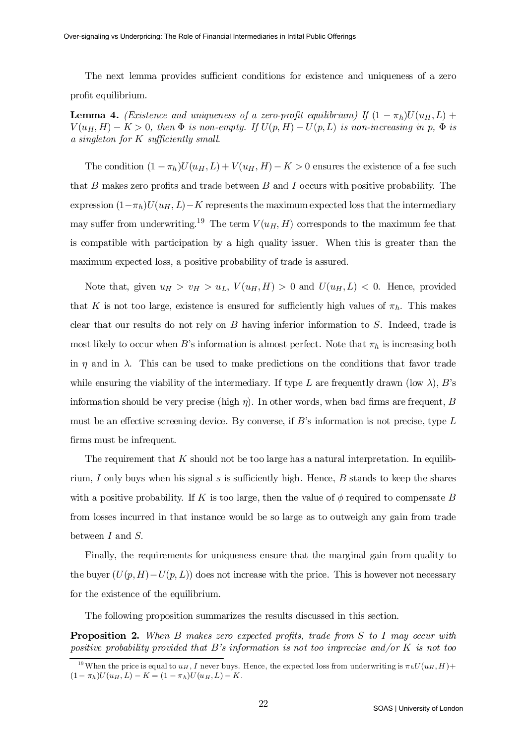The next lemma provides sufficient conditions for existence and uniqueness of a zero profit equilibrium.

**Lemma 4.** (Existence and uniqueness of a zero-profit equilibrium) If  $(1 - \pi_h)U(u_H,L)$  +  $V(u_H, H) - K > 0$ , then  $\Phi$  is non-empty. If  $U(p, H) - U(p, L)$  is non-increasing in p,  $\Phi$  is a singleton for  $K$  sufficiently small.

The condition  $(1 - \pi_h)U(u_H, L) + V(u_H, H) - K > 0$  ensures the existence of a fee such that B makes zero profits and trade between B and I occurs with positive probability. The expression  $(1-\pi_h)U(u_H, L) - K$  represents the maximum expected loss that the intermediary may suffer from underwriting.<sup>19</sup> The term  $V(u_H, H)$  corresponds to the maximum fee that is compatible with participation by a high quality issuer. When this is greater than the maximum expected loss, a positive probability of trade is assured.

Note that, given  $u_H > v_H > u_L$ ,  $V(u_H, H) > 0$  and  $U(u_H, L) < 0$ . Hence, provided that K is not too large, existence is ensured for sufficiently high values of  $\pi_h$ . This makes clear that our results do not rely on  $B$  having inferior information to  $S$ . Indeed, trade is most likely to occur when B's information is almost perfect. Note that  $\pi_h$  is increasing both in  $\eta$  and in  $\lambda$ . This can be used to make predictions on the conditions that favor trade while ensuring the viability of the intermediary. If type L are frequently drawn (low  $\lambda$ ), B's information should be very precise (high  $\eta$ ). In other words, when bad firms are frequent, B must be an effective screening device. By converse, if  $B$ 's information is not precise, type  $L$ firms must be infrequent.

The requirement that  $K$  should not be too large has a natural interpretation. In equilibrium, I only buys when his signal s is sufficiently high. Hence, B stands to keep the shares with a positive probability. If K is too large, then the value of  $\phi$  required to compensate B from losses incurred in that instance would be so large as to outweigh any gain from trade between I and S.

Finally, the requirements for uniqueness ensure that the marginal gain from quality to the buyer  $(U(p, H) - U(p, L))$  does not increase with the price. This is however not necessary for the existence of the equilibrium.

The following proposition summarizes the results discussed in this section.

**Proposition 2.** When B makes zero expected profits, trade from S to I may occur with positive probability provided that B's information is not too imprecise and/or K is not too

<sup>&</sup>lt;sup>19</sup>When the price is equal to  $u_H$ , I never buys. Hence, the expected loss from underwriting is  $\pi_h U(u_H, H)$  +  $(1 - \pi_h)U(u_H, L) - K = (1 - \pi_h)U(u_H, L) - K.$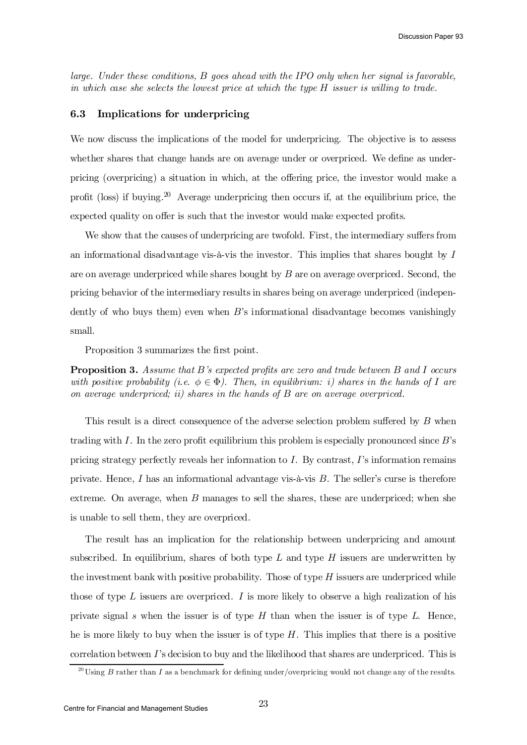large. Under these conditions, B goes ahead with the IPO only when her signal is favorable, in which case she selects the lowest price at which the type H issuer is willing to trade.

## 6.3 Implications for underpricing

We now discuss the implications of the model for underpricing. The objective is to assess whether shares that change hands are on average under or overpriced. We define as underpricing (overpricing) a situation in which, at the offering price, the investor would make a profit (loss) if buying.<sup>20</sup> Average underpricing then occurs if, at the equilibrium price, the expected quality on offer is such that the investor would make expected profits.

We show that the causes of underpricing are twofold. First, the intermediary suffers from an informational disadvantage vis- $\hat{a}$ -vis the investor. This implies that shares bought by I are on average underpriced while shares bought by  $B$  are on average overpriced. Second, the pricing behavior of the intermediary results in shares being on average underpriced (independently of who buys them) even when B's informational disadvantage becomes vanishingly small.

Proposition 3 summarizes the first point.

**Proposition 3.** Assume that B's expected profits are zero and trade between B and I occurs with positive probability (i.e.  $\phi \in \Phi$ ). Then, in equilibrium: i) shares in the hands of I are on average underpriced; ii) shares in the hands of B are on average overpriced.

This result is a direct consequence of the adverse selection problem suffered by  $B$  when trading with I. In the zero profit equilibrium this problem is especially pronounced since  $B$ 's pricing strategy perfectly reveals her information to  $I$ . By contrast,  $I$ 's information remains private. Hence,  $I$  has an informational advantage vis-à-vis  $B$ . The seller's curse is therefore extreme. On average, when  $B$  manages to sell the shares, these are underpriced; when she is unable to sell them, they are overpriced.

The result has an implication for the relationship between underpricing and amount subscribed. In equilibrium, shares of both type  $L$  and type  $H$  issuers are underwritten by the investment bank with positive probability. Those of type  $H$  issuers are underpriced while those of type  $L$  issuers are overpriced.  $I$  is more likely to observe a high realization of his private signal s when the issuer is of type  $H$  than when the issuer is of type  $L$ . Hence, he is more likely to buy when the issuer is of type  $H$ . This implies that there is a positive correlation between  $\Gamma$ 's decision to buy and the likelihood that shares are underpriced. This is

<sup>&</sup>lt;sup>20</sup> Using B rather than I as a benchmark for defining under/overpricing would not change any of the results.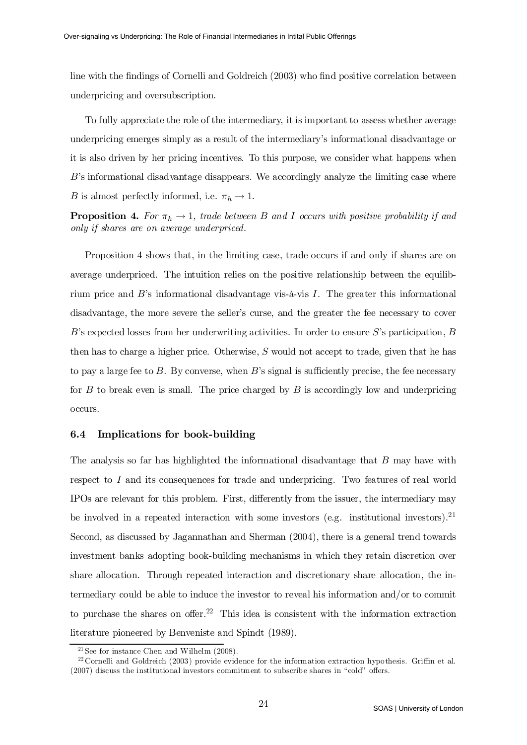line with the findings of Cornelli and Goldreich (2003) who find positive correlation between underpricing and oversubscription.

To fully appreciate the role of the intermediary, it is important to assess whether average underpricing emerges simply as a result of the intermediary's informational disadvantage or it is also driven by her pricing incentives. To this purpose, we consider what happens when B's informational disadvantage disappears. We accordingly analyze the limiting case where B is almost perfectly informed, i.e.  $\pi_h \to 1$ .

**Proposition 4.** For  $\pi_h \to 1$ , trade between B and I occurs with positive probability if and only if shares are on average underpriced.

Proposition 4 shows that, in the limiting case, trade occurs if and only if shares are on average underpriced. The intuition relies on the positive relationship between the equilibrium price and  $B$ 's informational disadvantage vis-à-vis  $I$ . The greater this informational disadvantage, the more severe the seller's curse, and the greater the fee necessary to cover  $B$ 's expected losses from her underwriting activities. In order to ensure  $S$ 's participation,  $B$ then has to charge a higher price. Otherwise,  $S$  would not accept to trade, given that he has to pay a large fee to  $B$ . By converse, when  $B$ 's signal is sufficiently precise, the fee necessary for  $B$  to break even is small. The price charged by  $B$  is accordingly low and underpricing occurs.

### 6.4 Implications for book-building

The analysis so far has highlighted the informational disadvantage that B may have with respect to I and its consequences for trade and underpricing. Two features of real world IPOs are relevant for this problem. First, differently from the issuer, the intermediary may be involved in a repeated interaction with some investors (e.g. institutional investors).<sup>21</sup> Second, as discussed by Jagannathan and Sherman (2004), there is a general trend towards investment banks adopting book-building mechanisms in which they retain discretion over share allocation. Through repeated interaction and discretionary share allocation, the intermediary could be able to induce the investor to reveal his information and/or to commit to purchase the shares on offer.<sup>22</sup> This idea is consistent with the information extraction literature pioneered by Benveniste and Spindt (1989).

 $21$  See for instance Chen and Wilhelm  $(2008)$ .

<sup>&</sup>lt;sup>22</sup> Cornelli and Goldreich (2003) provide evidence for the information extraction hypothesis. Griffin et al.  $(2007)$  discuss the institutional investors commitment to subscribe shares in "cold" offers.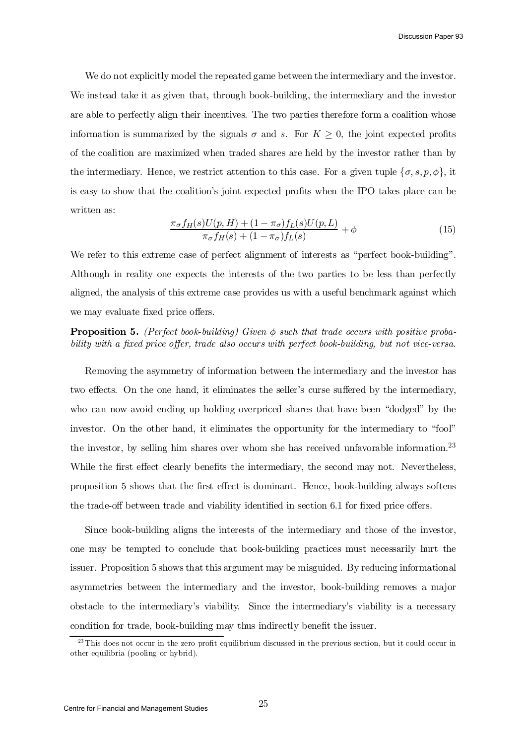We do not explicitly model the repeated game between the intermediary and the investor. We instead take it as given that, through book-building, the intermediary and the investor are able to perfectly align their incentives. The two parties therefore form a coalition whose information is summarized by the signals  $\sigma$  and s. For  $K \geq 0$ , the joint expected profits of the coalition are maximized when traded shares are held by the investor rather than by the intermediary. Hence, we restrict attention to this case. For a given tuple  $\{\sigma, s, p, \phi\}$ , it is easy to show that the coalition's joint expected profits when the IPO takes place can be written as:

$$
\frac{\pi_{\sigma}f_{H}(s)U(p,H) + (1 - \pi_{\sigma})f_{L}(s)U(p,L)}{\pi_{\sigma}f_{H}(s) + (1 - \pi_{\sigma})f_{L}(s)} + \phi
$$
\n(15)

We refer to this extreme case of perfect alignment of interests as "perfect book-building". Although in reality one expects the interests of the two parties to be less than perfectly aligned, the analysis of this extreme case provides us with a useful benchmark against which we may evaluate fixed price offers.

**Proposition 5.** (Perfect book-building) Given  $\phi$  such that trade occurs with positive probability with a fixed price offer, trade also occurs with perfect book-building, but not vice-versa.

Removing the asymmetry of information between the intermediary and the investor has two effects. On the one hand, it eliminates the seller's curse suffered by the intermediary, who can now avoid ending up holding overpriced shares that have been "dodged" by the investor. On the other hand, it eliminates the opportunity for the intermediary to "fool" the investor, by selling him shares over whom she has received unfavorable information.<sup>23</sup> While the first effect clearly benefits the intermediary, the second may not. Nevertheless, proposition 5 shows that the first effect is dominant. Hence, book-building always softens the trade-off between trade and viability identified in section 6.1 for fixed price offers.

Since book-building aligns the interests of the intermediary and those of the investor, one may be tempted to conclude that book-building practices must necessarily hurt the issuer. Proposition 5 shows that this argument may be misguided. By reducing informational asymmetries between the intermediary and the investor, book-building removes a major obstacle to the intermediary's viability. Since the intermediary's viability is a necessary condition for trade, book-building may thus indirectly benefit the issuer.

 $^{23}$  This does not occur in the zero profit equilibrium discussed in the previous section, but it could occur in other equilibria (pooling or hybrid).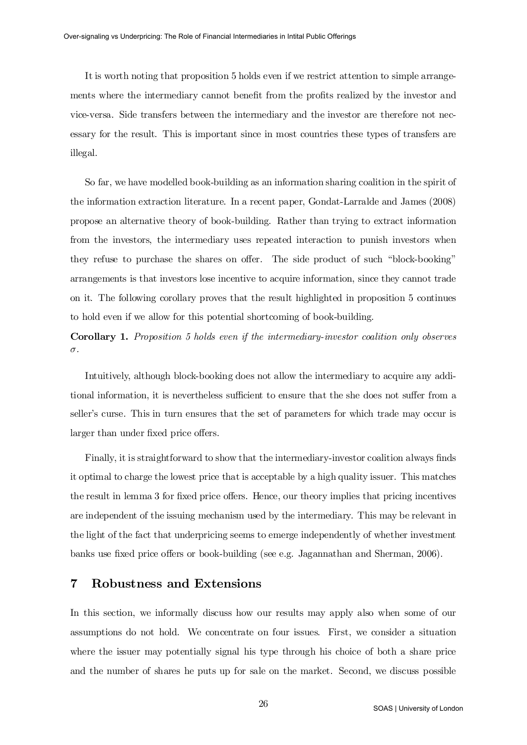It is worth noting that proposition 5 holds even if we restrict attention to simple arrangements where the intermediary cannot benefit from the profits realized by the investor and vice-versa. Side transfers between the intermediary and the investor are therefore not necessary for the result. This is important since in most countries these types of transfers are illegal.

So far, we have modelled book-building as an information sharing coalition in the spirit of the information extraction literature. In a recent paper, Gondat-Larralde and James (2008) propose an alternative theory of book-building. Rather than trying to extract information from the investors, the intermediary uses repeated interaction to punish investors when they refuse to purchase the shares on offer. The side product of such "block-booking" arrangements is that investors lose incentive to acquire information, since they cannot trade on it. The following corollary proves that the result highlighted in proposition 5 continues to hold even if we allow for this potential shortcoming of book-building.

# Corollary 1. Proposition 5 holds even if the intermediary-investor coalition only observes  $\sigma$ .

Intuitively, although block-booking does not allow the intermediary to acquire any additional information, it is nevertheless sufficient to ensure that the she does not suffer from a seller's curse. This in turn ensures that the set of parameters for which trade may occur is larger than under fixed price offers.

Finally, it is straightforward to show that the intermediary-investor coalition always finds it optimal to charge the lowest price that is acceptable by a high quality issuer. This matches the result in lemma 3 for fixed price offers. Hence, our theory implies that pricing incentives are independent of the issuing mechanism used by the intermediary. This may be relevant in the light of the fact that underpricing seems to emerge independently of whether investment banks use fixed price offers or book-building (see e.g. Jagannathan and Sherman, 2006).

# 7 Robustness and Extensions

In this section, we informally discuss how our results may apply also when some of our assumptions do not hold. We concentrate on four issues. First, we consider a situation where the issuer may potentially signal his type through his choice of both a share price and the number of shares he puts up for sale on the market. Second, we discuss possible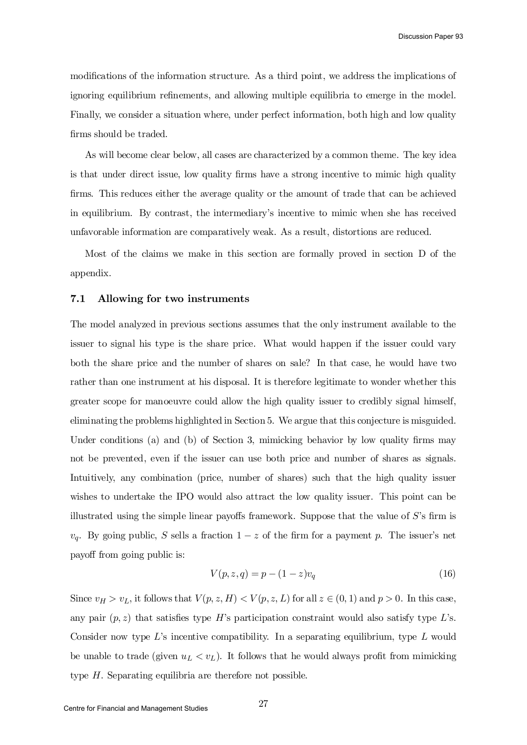modifications of the information structure. As a third point, we address the implications of ignoring equilibrium refinements, and allowing multiple equilibria to emerge in the model. Finally, we consider a situation where, under perfect information, both high and low quality firms should be traded.

As will become clear below, all cases are characterized by a common theme. The key idea is that under direct issue, low quality firms have a strong incentive to mimic high quality firms. This reduces either the average quality or the amount of trade that can be achieved in equilibrium. By contrast, the intermediary's incentive to mimic when she has received unfavorable information are comparatively weak. As a result, distortions are reduced.

Most of the claims we make in this section are formally proved in section D of the appendix.

#### 7.1 Allowing for two instruments

The model analyzed in previous sections assumes that the only instrument available to the issuer to signal his type is the share price. What would happen if the issuer could vary both the share price and the number of shares on sale? In that case, he would have two rather than one instrument at his disposal. It is therefore legitimate to wonder whether this greater scope for manoeuvre could allow the high quality issuer to credibly signal himself, eliminating the problems highlighted in Section 5. We argue that this conjecture is misguided. Under conditions (a) and (b) of Section 3, mimicking behavior by low quality firms may not be prevented, even if the issuer can use both price and number of shares as signals. Intuitively, any combination (price, number of shares) such that the high quality issuer wishes to undertake the IPO would also attract the low quality issuer. This point can be illustrated using the simple linear payoffs framework. Suppose that the value of  $S$ 's firm is  $v_q$ . By going public, S sells a fraction  $1-z$  of the firm for a payment p. The issuer's net payoff from going public is:

$$
V(p, z, q) = p - (1 - z)v_q
$$
\n(16)

Since  $v_H > v_L$ , it follows that  $V(p, z, H) < V(p, z, L)$  for all  $z \in (0, 1)$  and  $p > 0$ . In this case, any pair  $(p, z)$  that satisfies type H's participation constraint would also satisfy type L's. Consider now type  $L$ 's incentive compatibility. In a separating equilibrium, type  $L$  would be unable to trade (given  $u_L < v_L$ ). It follows that he would always profit from mimicking type  $H$ . Separating equilibria are therefore not possible.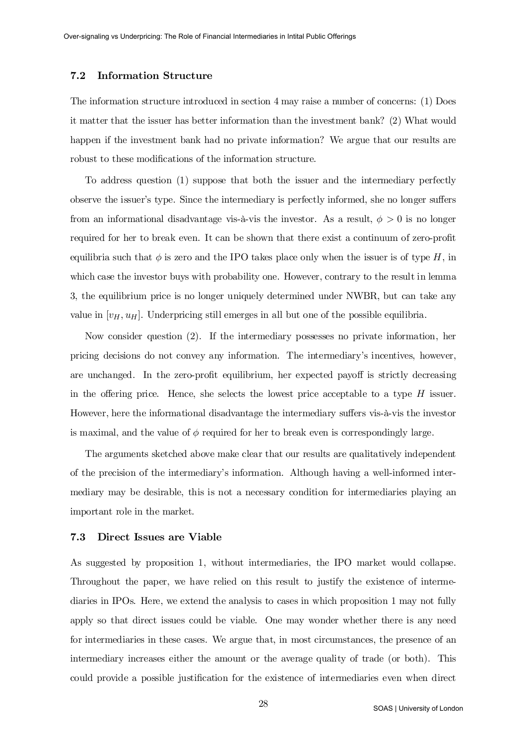## 7.2 Information Structure

The information structure introduced in section 4 may raise a number of concerns: (1) Does it matter that the issuer has better information than the investment bank? (2) What would happen if the investment bank had no private information? We argue that our results are robust to these modifications of the information structure.

To address question (1) suppose that both the issuer and the intermediary perfectly observe the issuer's type. Since the intermediary is perfectly informed, she no longer suffers from an informational disadvantage vis-à-vis the investor. As a result,  $\phi > 0$  is no longer required for her to break even. It can be shown that there exist a continuum of zero-profit equilibria such that  $\phi$  is zero and the IPO takes place only when the issuer is of type H, in which case the investor buys with probability one. However, contrary to the result in lemma 3, the equilibrium price is no longer uniquely determined under NWBR, but can take any value in  $[v_H, u_H]$ . Underpricing still emerges in all but one of the possible equilibria.

Now consider question (2). If the intermediary possesses no private information, her pricing decisions do not convey any information. The intermediary's incentives, however, are unchanged. In the zero-profit equilibrium, her expected payoff is strictly decreasing in the offering price. Hence, she selects the lowest price acceptable to a type  $H$  issuer. However, here the informational disadvantage the intermediary suffers vis-à-vis the investor is maximal, and the value of  $\phi$  required for her to break even is correspondingly large.

The arguments sketched above make clear that our results are qualitatively independent of the precision of the intermediary's information. Although having a well-informed intermediary may be desirable, this is not a necessary condition for intermediaries playing an important role in the market.

## 7.3 Direct Issues are Viable

As suggested by proposition 1, without intermediaries, the IPO market would collapse. Throughout the paper, we have relied on this result to justify the existence of intermediaries in IPOs. Here, we extend the analysis to cases in which proposition 1 may not fully apply so that direct issues could be viable. One may wonder whether there is any need for intermediaries in these cases. We argue that, in most circumstances, the presence of an intermediary increases either the amount or the average quality of trade (or both). This could provide a possible justification for the existence of intermediaries even when direct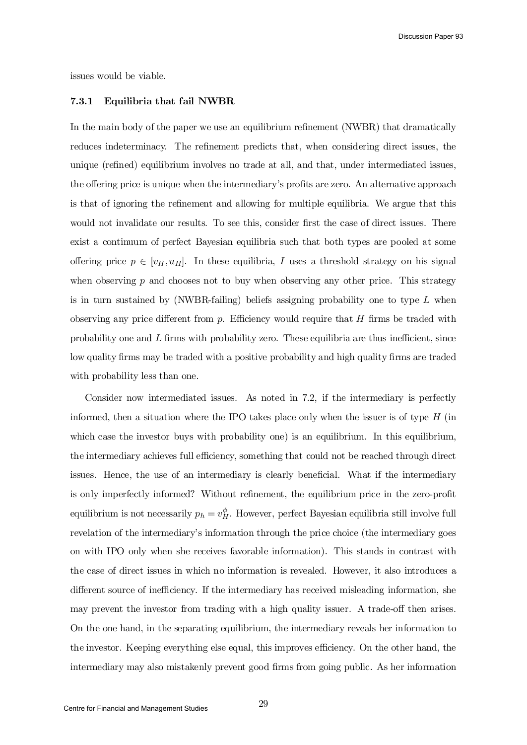Discussion Paper 93

issues would be viable.

## 7.3.1 Equilibria that fail NWBR

In the main body of the paper we use an equilibrium refinement (NWBR) that dramatically reduces indeterminacy. The refinement predicts that, when considering direct issues, the unique (refined) equilibrium involves no trade at all, and that, under intermediated issues, the offering price is unique when the intermediary's profits are zero. An alternative approach is that of ignoring the refinement and allowing for multiple equilibria. We argue that this would not invalidate our results. To see this, consider first the case of direct issues. There exist a continuum of perfect Bayesian equilibria such that both types are pooled at some offering price  $p \in [v_H, u_H]$ . In these equilibria, I uses a threshold strategy on his signal when observing  $p$  and chooses not to buy when observing any other price. This strategy is in turn sustained by  $(NWBR-failing)$  beliefs assigning probability one to type L when observing any price different from  $p$ . Efficiency would require that  $H$  firms be traded with probability one and  $L$  firms with probability zero. These equilibria are thus inefficient, since low quality firms may be traded with a positive probability and high quality firms are traded with probability less than one.

Consider now intermediated issues. As noted in 7.2, if the intermediary is perfectly informed, then a situation where the IPO takes place only when the issuer is of type  $H$  (in which case the investor buys with probability one) is an equilibrium. In this equilibrium, the intermediary achieves full efficiency, something that could not be reached through direct issues. Hence, the use of an intermediary is clearly beneficial. What if the intermediary is only imperfectly informed? Without refinement, the equilibrium price in the zero-profit equilibrium is not necessarily  $p_h = v_H^{\phi}$ . However, perfect Bayesian equilibria still involve full revelation of the intermediary's information through the price choice (the intermediary goes on with IPO only when she receives favorable information). This stands in contrast with the case of direct issues in which no information is revealed. However, it also introduces a different source of inefficiency. If the intermediary has received misleading information, she may prevent the investor from trading with a high quality issuer. A trade-off then arises. On the one hand, in the separating equilibrium, the intermediary reveals her information to the investor. Keeping everything else equal, this improves efficiency. On the other hand, the intermediary may also mistakenly prevent good firms from going public. As her information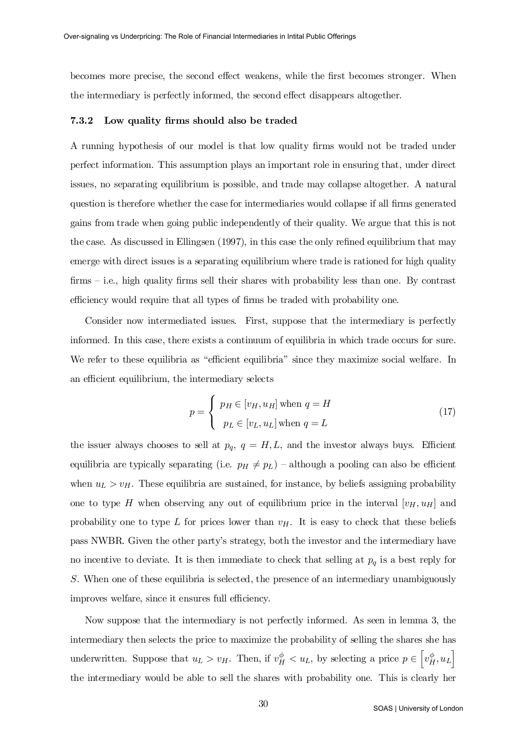becomes more precise, the second effect weakens, while the first becomes stronger. When the intermediary is perfectly informed, the second effect disappears altogether.

#### 7.3.2 Low quality firms should also be traded

A running hypothesis of our model is that low quality firms would not be traded under perfect information. This assumption plays an important role in ensuring that, under direct issues, no separating equilibrium is possible, and trade may collapse altogether. A natural question is therefore whether the case for intermediaries would collapse if all firms generated gains from trade when going public independently of their quality. We argue that this is not the case. As discussed in Ellingsen  $(1997)$ , in this case the only refined equilibrium that may emerge with direct issues is a separating equilibrium where trade is rationed for high quality  $\lim_{n \to \infty}$  i.e., high quality firms sell their shares with probability less than one. By contrast efficiency would require that all types of firms be traded with probability one.

Consider now intermediated issues. First, suppose that the intermediary is perfectly informed. In this case, there exists a continuum of equilibria in which trade occurs for sure. We refer to these equilibria as "efficient equilibria" since they maximize social welfare. In an efficient equilibrium, the intermediary selects

$$
p = \begin{cases} p_H \in [v_H, u_H] \text{ when } q = H \\ p_L \in [v_L, u_L] \text{ when } q = L \end{cases}
$$
 (17)

the issuer always chooses to sell at  $p_q$ ,  $q = H, L$ , and the investor always buys. Efficient equilibria are typically separating (i.e.  $p_H \neq p_L$ ) – although a pooling can also be efficient when  $u_L > v_H$ . These equilibria are sustained, for instance, by beliefs assigning probability one to type H when observing any out of equilibrium price in the interval  $[v_H, u_H]$  and probability one to type L for prices lower than  $v_H$ . It is easy to check that these beliefs pass NWBR. Given the other party's strategy, both the investor and the intermediary have no incentive to deviate. It is then immediate to check that selling at  $p<sub>q</sub>$  is a best reply for S. When one of these equilibria is selected, the presence of an intermediary unambiguously improves welfare, since it ensures full efficiency.

Now suppose that the intermediary is not perfectly informed. As seen in lemma 3, the intermediary then selects the price to maximize the probability of selling the shares she has underwritten. Suppose that  $u_L > v_H$ . Then, if  $v_H^{\phi} < u_L$ , by selecting a price  $p \in \left[ v_H^{\phi}, u_L \right]$ the intermediary would be able to sell the shares with probability one. This is clearly her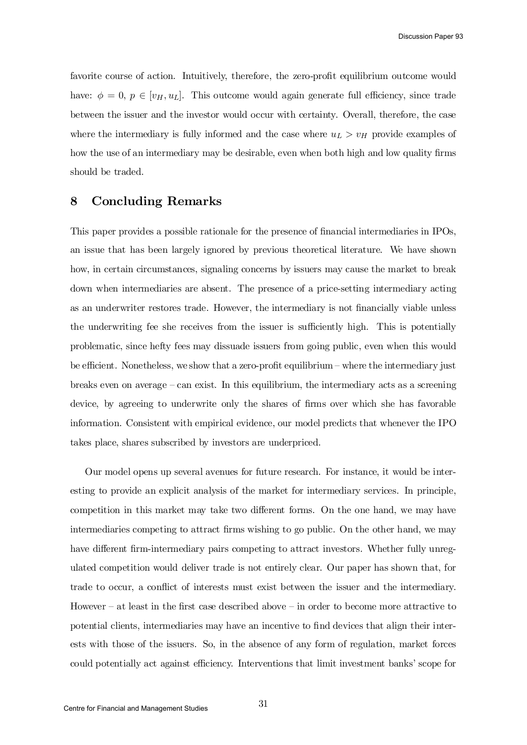favorite course of action. Intuitively, therefore, the zero-profit equilibrium outcome would have:  $\phi = 0$ ,  $p \in [v_H, u_L]$ . This outcome would again generate full efficiency, since trade between the issuer and the investor would occur with certainty. Overall, therefore, the case where the intermediary is fully informed and the case where  $u_L > v_H$  provide examples of how the use of an intermediary may be desirable, even when both high and low quality firms should be traded.

# 8 Concluding Remarks

This paper provides a possible rationale for the presence of financial intermediaries in IPOs, an issue that has been largely ignored by previous theoretical literature. We have shown how, in certain circumstances, signaling concerns by issuers may cause the market to break down when intermediaries are absent. The presence of a price-setting intermediary acting as an underwriter restores trade. However, the intermediary is not financially viable unless the underwriting fee she receives from the issuer is sufficiently high. This is potentially problematic, since hefty fees may dissuade issuers from going public, even when this would be efficient. Nonetheless, we show that a zero-profit equilibrium – where the intermediary just breaks even on average – can exist. In this equilibrium, the intermediary acts as a screening device, by agreeing to underwrite only the shares of firms over which she has favorable information. Consistent with empirical evidence, our model predicts that whenever the IPO takes place, shares subscribed by investors are underpriced.

Our model opens up several avenues for future research. For instance, it would be interesting to provide an explicit analysis of the market for intermediary services. In principle, competition in this market may take two different forms. On the one hand, we may have intermediaries competing to attract firms wishing to go public. On the other hand, we may have different firm-intermediary pairs competing to attract investors. Whether fully unregulated competition would deliver trade is not entirely clear. Our paper has shown that, for trade to occur, a conflict of interests must exist between the issuer and the intermediary. However – at least in the first case described above – in order to become more attractive to potential clients, intermediaries may have an incentive to find devices that align their interests with those of the issuers. So, in the absence of any form of regulation, market forces could potentially act against efficiency. Interventions that limit investment banks' scope for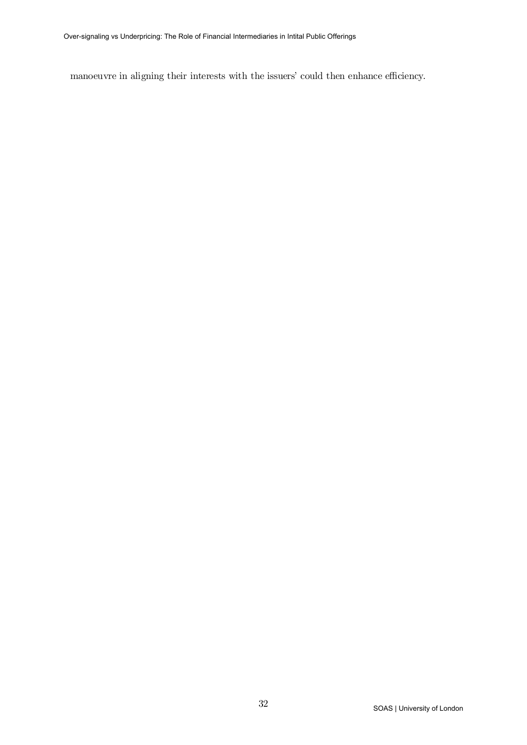manoeuvre in aligning their interests with the issuers' could then enhance efficiency.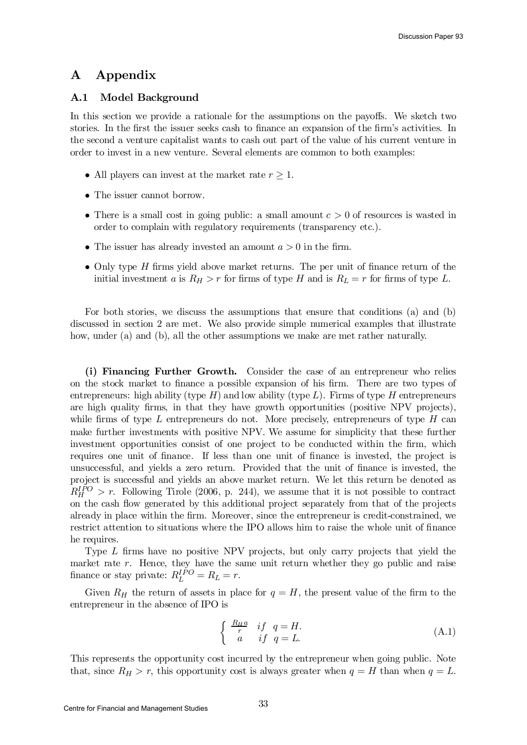# A Appendix

# A.1 Model Background

In this section we provide a rationale for the assumptions on the payoffs. We sketch two stories. In the first the issuer seeks cash to finance an expansion of the firm's activities. In the second a venture capitalist wants to cash out part of the value of his current venture in order to invest in a new venture. Several elements are common to both examples:

- All players can invest at the market rate  $r \geq 1$ .
- The issuer cannot borrow.
- There is a small cost in going public: a small amount  $c > 0$  of resources is wasted in order to complain with regulatory requirements (transparency etc.).
- The issuer has already invested an amount  $a > 0$  in the firm.
- Only type  $H$  firms yield above market returns. The per unit of finance return of the initial investment a is  $R_H > r$  for firms of type H and is  $R_L = r$  for firms of type L.

For both stories, we discuss the assumptions that ensure that conditions (a) and (b) discussed in section 2 are met. We also provide simple numerical examples that illustrate how, under (a) and (b), all the other assumptions we make are met rather naturally.

(i) Financing Further Growth. Consider the case of an entrepreneur who relies on the stock market to finance a possible expansion of his firm. There are two types of entrepreneurs: high ability (type  $H$ ) and low ability (type  $L$ ). Firms of type  $H$  entrepreneurs are high quality firms, in that they have growth opportunities (positive NPV projects), while firms of type L entrepreneurs do not. More precisely, entrepreneurs of type  $H$  can make further investments with positive NPV. We assume for simplicity that these further investment opportunities consist of one project to be conducted within the firm, which requires one unit of finance. If less than one unit of finance is invested, the project is unsuccessful, and yields a zero return. Provided that the unit of finance is invested, the project is successful and yields an above market return. We let this return be denoted as  $R_H^{IPO} > r$ . Following Tirole (2006, p. 244), we assume that it is not possible to contract on the cash ‡ow generated by this additional project separately from that of the projects already in place within the firm. Moreover, since the entrepreneur is credit-constrained, we restrict attention to situations where the IPO allows him to raise the whole unit of finance he requires.

Type  $L$  firms have no positive NPV projects, but only carry projects that yield the market rate  $r$ . Hence, they have the same unit return whether they go public and raise finance or stay private:  $R_L^{IPO} = R_L = r$ .

Given  $R_H$  the return of assets in place for  $q = H$ , the present value of the firm to the entrepreneur in the absence of IPO is

$$
\begin{cases}\n\frac{R_H a}{r} & if q = H. \\
a & if q = L.\n\end{cases}
$$
\n(A.1)

This represents the opportunity cost incurred by the entrepreneur when going public. Note that, since  $R_H > r$ , this opportunity cost is always greater when  $q = H$  than when  $q = L$ .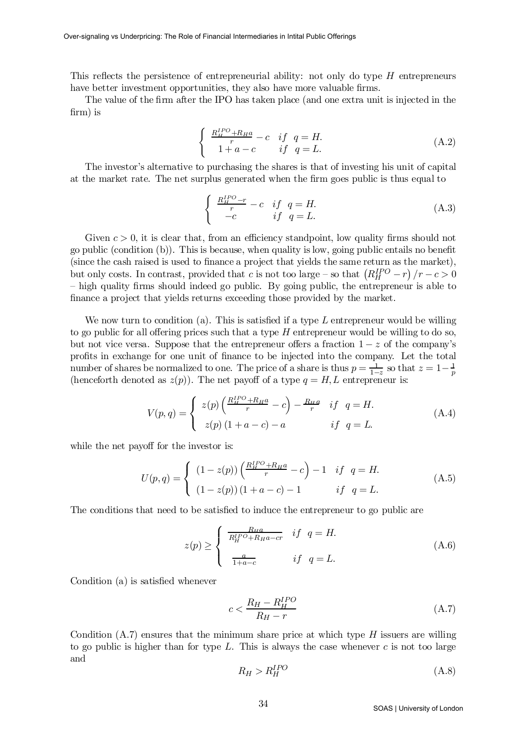This reflects the persistence of entrepreneurial ability: not only do type  $H$  entrepreneurs have better investment opportunities, they also have more valuable firms.

The value of the firm after the IPO has taken place (and one extra unit is injected in the  $firm$ ) is

$$
\begin{cases}\n\frac{R_{\rm H}^{IPO} + R_{\rm H}a}{r} - c & if \quad q = H. \\
1 + a - c & if \quad q = L.\n\end{cases}
$$
\n(A.2)

The investor's alternative to purchasing the shares is that of investing his unit of capital at the market rate. The net surplus generated when the firm goes public is thus equal to

$$
\begin{cases}\n\frac{R_H^{IPO} - r}{r} - c & if \quad q = H. \\
-c & if \quad q = L.\n\end{cases}
$$
\n(A.3)

Given  $c > 0$ , it is clear that, from an efficiency standpoint, low quality firms should not go public (condition  $(b)$ ). This is because, when quality is low, going public entails no benefit  $(\text{since the cash raised is used to finance a project that yields the same return as the market}),$ but only costs. In contrast, provided that c is not too large – so that  $(R_H^{IPO}-r)/r-c>0$  $-$  high quality firms should indeed go public. By going public, the entrepreneur is able to finance a project that yields returns exceeding those provided by the market.

We now turn to condition (a). This is satisfied if a type  $L$  entrepreneur would be willing to go public for all offering prices such that a type  $H$  entrepreneur would be willing to do so, but not vice versa. Suppose that the entrepreneur offers a fraction  $1 - z$  of the company's profits in exchange for one unit of finance to be injected into the company. Let the total number of shares be normalized to one. The price of a share is thus  $p = \frac{1}{1-z}$  so that  $z = 1-\frac{1}{p}$ (henceforth denoted as  $z(p)$ ). The net payoff of a type  $q = H, L$  entrepreneur is:

$$
V(p,q) = \begin{cases} z(p) \left(\frac{R_H^{IPO} + R_H a}{r} - c\right) - \frac{R_H a}{r} & \text{if } q = H. \\ z(p) \left(1 + a - c\right) - a & \text{if } q = L. \end{cases}
$$
 (A.4)

while the net payoff for the investor is:

$$
U(p,q) = \begin{cases} (1 - z(p)) \left( \frac{R_H^{IPO} + R_H a}{r} - c \right) - 1 & if q = H. \\ (1 - z(p)) (1 + a - c) - 1 & if q = L. \end{cases}
$$
(A.5)

The conditions that need to be satisfied to induce the entrepreneur to go public are

$$
z(p) \ge \begin{cases} \frac{R_{H}a}{R_{H}^{IPO} + R_{H}a - cr} & if \quad q = H. \\ \frac{a}{1 + a - c} & if \quad q = L. \end{cases}
$$
 (A.6)

Condition  $(a)$  is satisfied whenever

$$
c < \frac{R_H - R_H^{IPO}}{R_H - r} \tag{A.7}
$$

Condition  $(A.7)$  ensures that the minimum share price at which type H issuers are willing to go public is higher than for type  $L$ . This is always the case whenever  $c$  is not too large and

$$
R_H > R_H^{IPO} \tag{A.8}
$$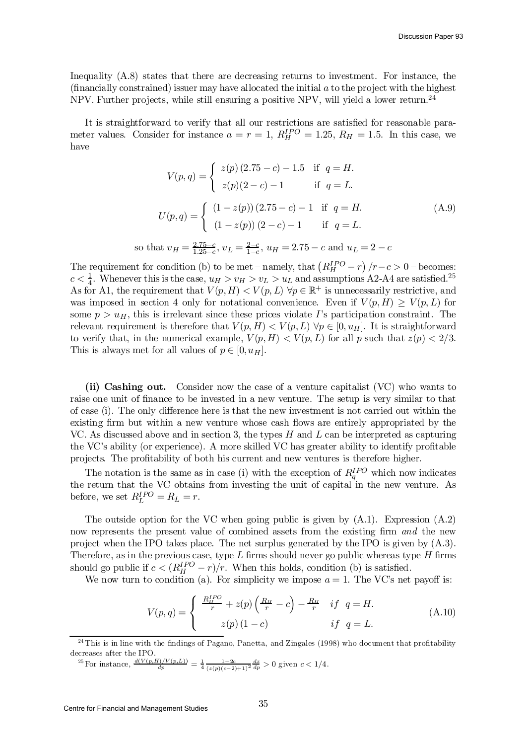Inequality (A.8) states that there are decreasing returns to investment. For instance, the  $(\text{financially constrained})$  issuer may have allocated the initial  $a$  to the project with the highest NPV. Further projects, while still ensuring a positive NPV, will yield a lower return.<sup>24</sup>

It is straightforward to verify that all our restrictions are satisfied for reasonable parameter values. Consider for instance  $a = r = 1$ ,  $R_H^{IPO} = 1.25$ ,  $R_H = 1.5$ . In this case, we have

$$
V(p,q) = \begin{cases} z(p) (2.75 - c) - 1.5 & \text{if } q = H. \\ z(p)(2 - c) - 1 & \text{if } q = L. \end{cases}
$$
  

$$
U(p,q) = \begin{cases} (1 - z(p)) (2.75 - c) - 1 & \text{if } q = H. \\ (1 - z(p)) (2 - c) - 1 & \text{if } q = L. \end{cases}
$$
  
that  $v_H = \frac{2.75 - c}{1.25 - c}$ ,  $v_L = \frac{2 - c}{1 - c}$ ,  $u_H = 2.75 - c$  and  $u_L = 2 - c$ 

The requirement for condition (b) to be met – namely, that  $\left(R_H^{IPO}-r\right)/r-c > 0$  – becomes:  $c < \frac{1}{4}$ <sup>1</sup>/<sub>4</sub>. Whenever this is the case,  $u_H > v_H > v_L > u_L$  and assumptions A2-A4 are satisfied.<sup>25</sup> As for A1, the requirement that  $V(p, H) < V(p, L)$   $\forall p \in \mathbb{R}^+$  is unnecessarily restrictive, and was imposed in section 4 only for notational convenience. Even if  $V(p,H) \ge V(p,L)$  for some  $p > u_H$ , this is irrelevant since these prices violate I's participation constraint. The relevant requirement is therefore that  $V(p, H) < V(p, L)$   $\forall p \in [0, u_H]$ . It is straightforward to verify that, in the numerical example,  $V(p, H) < V(p, L)$  for all p such that  $z(p) < 2/3$ . This is always met for all values of  $p \in [0, u_H]$ .

(ii) Cashing out. Consider now the case of a venture capitalist (VC) who wants to raise one unit of finance to be invested in a new venture. The setup is very similar to that of case (i). The only difference here is that the new investment is not carried out within the existing firm but within a new venture whose cash flows are entirely appropriated by the VC. As discussed above and in section 3, the types  $H$  and  $L$  can be interpreted as capturing the VC's ability (or experience). A more skilled VC has greater ability to identify profitable projects. The profitability of both his current and new ventures is therefore higher.

The notation is the same as in case (i) with the exception of  $R_q^{IPO}$  which now indicates the return that the VC obtains from investing the unit of capital in the new venture. As before, we set  $R_L^{IPO} = R_L = r$ .

The outside option for the VC when going public is given by  $(A.1)$ . Expression  $(A.2)$ now represents the present value of combined assets from the existing firm  $and$  the new project when the IPO takes place. The net surplus generated by the IPO is given by (A.3). Therefore, as in the previous case, type  $L$  firms should never go public whereas type  $H$  firms should go public if  $c < (R_H^{IPO} - r)/r$ . When this holds, condition (b) is satisfied.

We now turn to condition (a). For simplicity we impose  $a = 1$ . The VC's net payoff is:

$$
V(p,q) = \begin{cases} \frac{R_{\mu}^{IPO}}{r} + z(p) \left( \frac{R_{\mu}}{r} - c \right) - \frac{R_{\mu}}{r} & if \ q = H. \\ z(p) \left( 1 - c \right) & if \ q = L. \end{cases}
$$
(A.10)

so t

 $^{24}$  This is in line with the findings of Pagano, Panetta, and Zingales (1998) who document that profitability decreases after the IPO.

<sup>&</sup>lt;sup>25</sup> For instance,  $\frac{d(V(p,H)/V(p,L))}{dp} = \frac{1}{4} \frac{1-2c}{(z(p)(c-2)+1)^2} \frac{dz}{dp} > 0$  given  $c < 1/4$ .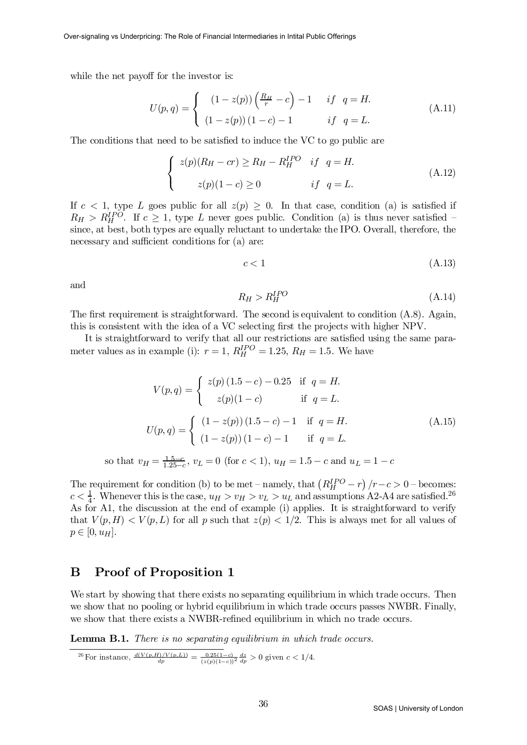while the net payoff for the investor is:

$$
U(p,q) = \begin{cases} (1 - z(p))\left(\frac{R_H}{r} - c\right) - 1 & \text{if } q = H.\\ (1 - z(p))(1 - c) - 1 & \text{if } q = L. \end{cases}
$$
(A.11)

The conditions that need to be satisfied to induce the VC to go public are

$$
\begin{cases}\n z(p)(R_H - cr) \ge R_H - R_H^{IPO} & \text{if } q = H. \\
 z(p)(1 - c) \ge 0 & \text{if } q = L.\n\end{cases}\n\tag{A.12}
$$

If  $c < 1$ , type L goes public for all  $z(p) \geq 0$ . In that case, condition (a) is satisfied if  $R_H > R_H^{IPO}$ . If  $c \geq 1$ , type L never goes public. Condition (a) is thus never satisfied – since, at best, both types are equally reluctant to undertake the IPO. Overall, therefore, the necessary and sufficient conditions for (a) are:

$$
c < 1\tag{A.13}
$$

and

$$
R_H > R_H^{IPO} \tag{A.14}
$$

The first requirement is straightforward. The second is equivalent to condition  $(A.8)$ . Again, this is consistent with the idea of a VC selecting first the projects with higher NPV.

It is straightforward to verify that all our restrictions are satisfied using the same parameter values as in example (i):  $r = 1$ ,  $R_H^{IPO} = 1.25$ ,  $R_H = 1.5$ . We have

$$
V(p,q) = \begin{cases} z(p) (1.5 - c) - 0.25 & \text{if } q = H. \\ z(p)(1 - c) & \text{if } q = L. \end{cases}
$$
  

$$
U(p,q) = \begin{cases} (1 - z(p)) (1.5 - c) - 1 & \text{if } q = H. \\ (1 - z(p)) (1 - c) - 1 & \text{if } q = L. \end{cases}
$$
  
so that  $v_H = \frac{1.5 - c}{1.25 - c}$ ,  $v_L = 0$  (for  $c < 1$ ),  $u_H = 1.5 - c$  and  $u_L = 1 - c$ 

The requirement for condition (b) to be met – namely, that  $(R_H^{IPO}-r)/r-c > 0$  – becomes:  $c < \frac{1}{4}$ <sup>1</sup>/<sub>4</sub>. Whenever this is the case,  $u_H > v_H > v_L > u_L$  and assumptions A2-A4 are satisfied.<sup>26</sup> As for A1, the discussion at the end of example (i) applies. It is straightforward to verify that  $V(p,H) < V(p,L)$  for all p such that  $z(p) < 1/2$ . This is always met for all values of  $p \in [0, u_H].$ 

# B Proof of Proposition 1

We start by showing that there exists no separating equilibrium in which trade occurs. Then we show that no pooling or hybrid equilibrium in which trade occurs passes NWBR. Finally, we show that there exists a NWBR-refined equilibrium in which no trade occurs.

Lemma B.1. There is no separating equilibrium in which trade occurs.

<sup>26</sup> For instance, 
$$
\frac{d(V(p,H)/V(p,L))}{dp} = \frac{0.25(1-c)}{(z(p)(1-c))^2} \frac{dz}{dp} > 0
$$
 given  $c < 1/4$ .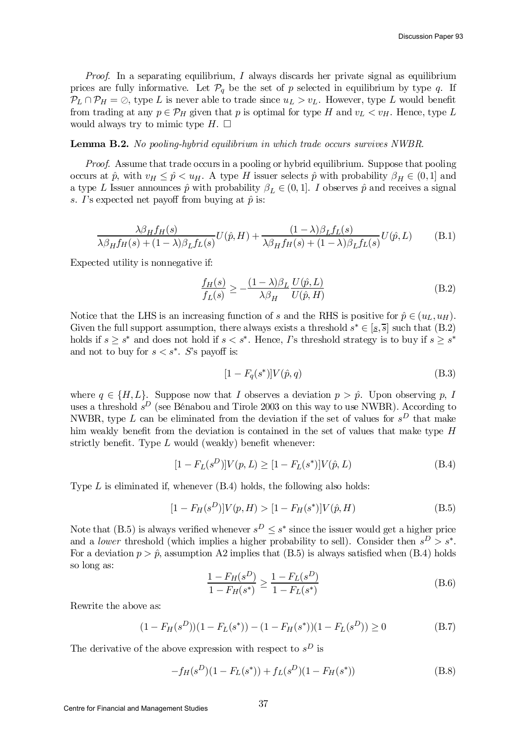*Proof.* In a separating equilibrium, I always discards her private signal as equilibrium prices are fully informative. Let  $\mathcal{P}_q$  be the set of p selected in equilibrium by type q. If  $\mathcal{P}_L \cap \mathcal{P}_H = \emptyset$ , type L is never able to trade since  $u_L > v_L$ . However, type L would benefit from trading at any  $p \in \mathcal{P}_H$  given that p is optimal for type H and  $v_L < v_H$ . Hence, type L would always try to mimic type  $H$ .  $\Box$ 

## Lemma B.2. No pooling-hybrid equilibrium in which trade occurs survives NWBR.

Proof. Assume that trade occurs in a pooling or hybrid equilibrium. Suppose that pooling occurs at  $\hat{p}$ , with  $v_H \leq \hat{p} < u_H$ . A type H issuer selects  $\hat{p}$  with probability  $\beta_H \in (0,1]$  and a type L Issuer announces  $\hat{p}$  with probability  $\beta_L \in (0, 1]$ . I observes  $\hat{p}$  and receives a signal s. I's expected net payoff from buying at  $\hat{p}$  is:

$$
\frac{\lambda \beta_H f_H(s)}{\lambda \beta_H f_H(s) + (1 - \lambda)\beta_L f_L(s)} U(\hat{p}, H) + \frac{(1 - \lambda)\beta_L f_L(s)}{\lambda \beta_H f_H(s) + (1 - \lambda)\beta_L f_L(s)} U(\hat{p}, L)
$$
(B.1)

Expected utility is nonnegative if:

$$
\frac{f_H(s)}{f_L(s)} \ge -\frac{(1-\lambda)\beta_L}{\lambda\beta_H} \frac{U(\hat{p}, L)}{U(\hat{p}, H)}\tag{B.2}
$$

Notice that the LHS is an increasing function of s and the RHS is positive for  $\hat{p} \in (u_L, u_H)$ . Given the full support assumption, there always exists a threshold  $s^* \in [s, \overline{s}]$  such that  $(B.2)$ holds if  $s \geq s^*$  and does not hold if  $s < s^*$ . Hence, *I*'s threshold strategy is to buy if  $s \geq s^*$ and not to buy for  $s < s^*$ . S's payoff is:

$$
[1 - F_q(s^*)]V(\hat{p}, q)
$$
 (B.3)

where  $q \in \{H, L\}$ . Suppose now that I observes a deviation  $p > \hat{p}$ . Upon observing p, I uses a threshold  $s^D$  (see Bénabou and Tirole 2003 on this way to use NWBR). According to NWBR, type L can be eliminated from the deviation if the set of values for  $s^D$  that make him weakly benefit from the deviation is contained in the set of values that make type  $H$ strictly benefit. Type  $L$  would (weakly) benefit whenever:

$$
[1 - F_L(s^D)]V(p, L) \ge [1 - F_L(s^*)]V(\hat{p}, L)
$$
\n(B.4)

Type  $L$  is eliminated if, whenever  $(B.4)$  holds, the following also holds:

$$
[1 - F_H(s^D)]V(p, H) > [1 - F_H(s^*)]V(\hat{p}, H)
$$
\n(B.5)

Note that (B.5) is always verified whenever  $s^D \leq s^*$  since the issuer would get a higher price and a *lower* threshold (which implies a higher probability to sell). Consider then  $s^D > s^*$ . For a deviation  $p > \hat{p}$ , assumption A2 implies that (B.5) is always satisfied when (B.4) holds so long as:

$$
\frac{1 - F_H(s^D)}{1 - F_H(s^*)} \ge \frac{1 - F_L(s^D)}{1 - F_L(s^*)}
$$
\n(B.6)

Rewrite the above as:

$$
(1 - F_H(s^D))(1 - F_L(s^*)) - (1 - F_H(s^*)) (1 - F_L(s^D)) \ge 0
$$
\n(B.7)

The derivative of the above expression with respect to  $s^D$  is

$$
-f_H(s^D)(1 - F_L(s^*)) + f_L(s^D)(1 - F_H(s^*))
$$
\n(B.8)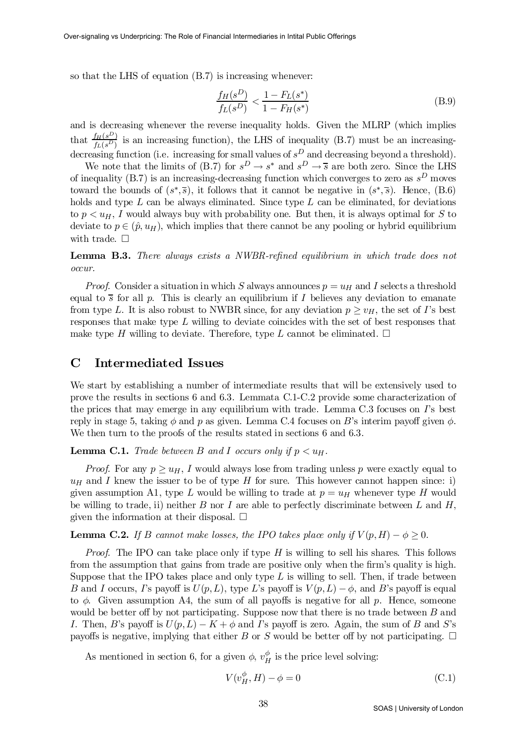so that the LHS of equation (B.7) is increasing whenever:

$$
\frac{f_H(s^D)}{f_L(s^D)} < \frac{1 - F_L(s^*)}{1 - F_H(s^*)} \tag{B.9}
$$

and is decreasing whenever the reverse inequality holds. Given the MLRP (which implies that  $\frac{f_H(s^D)}{f_H(s^D)}$  $\frac{L_H(s^2)}{f_L(s^D)}$  is an increasing function), the LHS of inequality (B.7) must be an increasingdecreasing function (i.e. increasing for small values of  $s<sup>D</sup>$  and decreasing beyond a threshold).

We note that the limits of (B.7) for  $s^D \to s^*$  and  $s^D \to \overline{s}$  are both zero. Since the LHS of inequality (B.7) is an increasing-decreasing function which converges to zero as  $s<sup>D</sup>$  moves toward the bounds of  $(s^*,\overline{s})$ , it follows that it cannot be negative in  $(s^*,\overline{s})$ . Hence, (B.6) holds and type  $L$  can be always eliminated. Since type  $L$  can be eliminated, for deviations to  $p < u_H$ , I would always buy with probability one. But then, it is always optimal for S to deviate to  $p \in (\hat{p}, u_H)$ , which implies that there cannot be any pooling or hybrid equilibrium with trade.  $\Box$ 

**Lemma B.3.** There always exists a NWBR-refined equilibrium in which trade does not occur.

*Proof.* Consider a situation in which S always announces  $p = u_H$  and I selects a threshold equal to  $\overline{s}$  for all p. This is clearly an equilibrium if I believes any deviation to emanate from type L. It is also robust to NWBR since, for any deviation  $p \geq v_H$ , the set of I's best responses that make type L willing to deviate coincides with the set of best responses that make type H willing to deviate. Therefore, type L cannot be eliminated.  $\Box$ 

# C Intermediated Issues

We start by establishing a number of intermediate results that will be extensively used to prove the results in sections 6 and 6.3. Lemmata C.1-C.2 provide some characterization of the prices that may emerge in any equilibrium with trade. Lemma C.3 focuses on I's best reply in stage 5, taking  $\phi$  and p as given. Lemma C.4 focuses on B's interim payoff given  $\phi$ . We then turn to the proofs of the results stated in sections 6 and 6.3.

**Lemma C.1.** Trade between B and I occurs only if  $p < u_H$ .

*Proof.* For any  $p \geq u_H$ , I would always lose from trading unless p were exactly equal to  $u_H$  and I knew the issuer to be of type H for sure. This however cannot happen since: i) given assumption A1, type L would be willing to trade at  $p = u_H$  whenever type H would be willing to trade, ii) neither B nor I are able to perfectly discriminate between L and  $H$ , given the information at their disposal.  $\Box$ 

## **Lemma C.2.** If B cannot make losses, the IPO takes place only if  $V(p,H) - \phi \geq 0$ .

*Proof.* The IPO can take place only if type  $H$  is willing to sell his shares. This follows from the assumption that gains from trade are positive only when the firm's quality is high. Suppose that the IPO takes place and only type  $L$  is willing to sell. Then, if trade between B and I occurs, I's payoff is  $U(p, L)$ , type L's payoff is  $V(p, L) - \phi$ , and B's payoff is equal to  $\phi$ . Given assumption A4, the sum of all payoffs is negative for all p. Hence, someone would be better off by not participating. Suppose now that there is no trade between  $B$  and I. Then, B's payoff is  $U(p, L) - K + \phi$  and I's payoff is zero. Again, the sum of B and S's payoffs is negative, implying that either B or S would be better off by not participating.  $\Box$ 

As mentioned in section 6, for a given  $\phi$ ,  $v_H^{\phi}$  $_{H}^{\varphi}$  is the price level solving:

$$
V(v_H^{\phi}, H) - \phi = 0
$$
\n(C.1)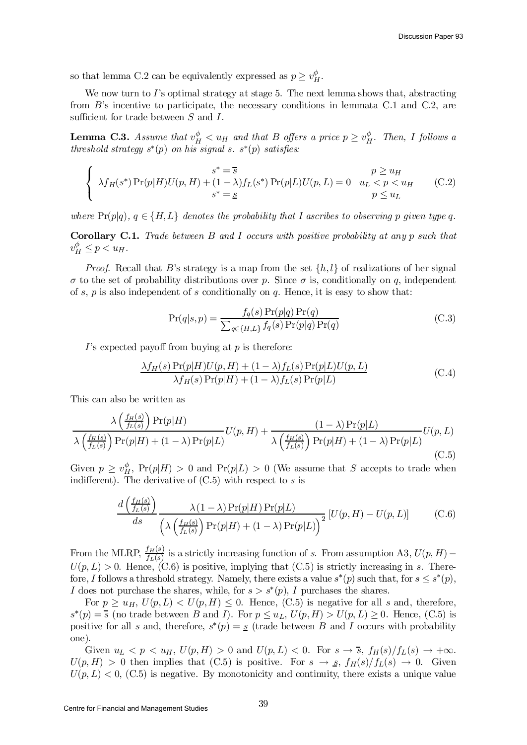so that lemma C.2 can be equivalently expressed as  $p \geq v_H^{\phi}$ .

We now turn to I's optimal strategy at stage 5. The next lemma shows that, abstracting from B's incentive to participate, the necessary conditions in lemmata C.1 and C.2, are sufficient for trade between  $S$  and  $I$ .

**Lemma C.3.** Assume that  $v_H^{\phi} < u_H$  and that B offers a price  $p \geq v_H^{\phi}$  $_{H}^{\varphi}$ . Then, I follows a threshold strategy  $s^*(p)$  on his signal s.  $s^*(p)$  satisfies:

$$
\begin{cases}\n s^* = \overline{s} & p \ge u_H \\
 \lambda f_H(s^*) \Pr(p|H) U(p, H) + (1 - \lambda) f_L(s^*) \Pr(p|L) U(p, L) = 0 & u_L < p < u_H \\
 s^* = s & p \le u_L\n\end{cases} \tag{C.2}
$$

where  $Pr(p|q)$ ,  $q \in \{H, L\}$  denotes the probability that I ascribes to observing p given type q.

Corollary C.1. Trade between B and I occurs with positive probability at any p such that  $v_H^{\phi} \leq p < u_H.$ 

*Proof.* Recall that B's strategy is a map from the set  $\{h, l\}$  of realizations of her signal  $\sigma$  to the set of probability distributions over p. Since  $\sigma$  is, conditionally on q, independent of s,  $p$  is also independent of s conditionally on  $q$ . Hence, it is easy to show that:

$$
\Pr(q|s,p) = \frac{f_q(s)\Pr(p|q)\Pr(q)}{\sum_{q \in \{H,L\}} f_q(s)\Pr(p|q)\Pr(q)}\tag{C.3}
$$

 $I$ 's expected payoff from buying at p is therefore:

$$
\frac{\lambda f_H(s) \Pr(p|H) U(p, H) + (1 - \lambda) f_L(s) \Pr(p|L) U(p, L)}{\lambda f_H(s) \Pr(p|H) + (1 - \lambda) f_L(s) \Pr(p|L)} \tag{C.4}
$$

This can also be written as

$$
\frac{\lambda \left(\frac{f_H(s)}{f_L(s)}\right) \Pr(p|H)}{\lambda \left(\frac{f_H(s)}{f_L(s)}\right) \Pr(p|H) + (1-\lambda) \Pr(p|L)} U(p,H) + \frac{(1-\lambda) \Pr(p|L)}{\lambda \left(\frac{f_H(s)}{f_L(s)}\right) \Pr(p|H) + (1-\lambda) \Pr(p|L)} U(p,L)
$$
(C.5)

Given  $p \geq v_H^{\phi}$ ,  $Pr(p|H) > 0$  and  $Pr(p|L) > 0$  (We assume that S accepts to trade when indifferent). The derivative of  $(C.5)$  with respect to s is

$$
\frac{d\left(\frac{f_H(s)}{f_L(s)}\right)}{ds} \frac{\lambda(1-\lambda)\Pr(p|H)\Pr(p|L)}{\left(\lambda\left(\frac{f_H(s)}{f_L(s)}\right)\Pr(p|H) + (1-\lambda)\Pr(p|L)\right)^2} \left[U(p,H) - U(p,L)\right] \tag{C.6}
$$

From the MLRP,  $\frac{f_H(s)}{f_H(s)}$  $\frac{f_H(s)}{f_L(s)}$  is a strictly increasing function of s. From assumption A3,  $U(p, H)$  –  $U(p, L) > 0$ . Hence, (C.6) is positive, implying that (C.5) is strictly increasing in s. Therefore, I follows a threshold strategy. Namely, there exists a value  $s^*(p)$  such that, for  $s \leq s^*(p)$ , I does not purchase the shares, while, for  $s > s^*(p)$ , I purchases the shares.

For  $p \geq u_H$ ,  $U(p, L) < U(p, H) \leq 0$ . Hence, (C.5) is negative for all s and, therefore,  $s^*(p) = \overline{s}$  (no trade between B and I). For  $p \leq u_L$ ,  $U(p, H) > U(p, L) \geq 0$ . Hence, (C.5) is positive for all s and, therefore,  $s^*(p) = s$  (trade between B and I occurs with probability one).

Given  $u_L < p < u_H$ ,  $U(p, H) > 0$  and  $U(p, L) < 0$ . For  $s \to \overline{s}$ ,  $f_H(s)/f_L(s) \to +\infty$ .  $U(p, H) > 0$  then implies that (C.5) is positive. For  $s \to s$ ,  $f_H(s)/f_L(s) \to 0$ . Given  $U(p, L) < 0$ , (C.5) is negative. By monotonicity and continuity, there exists a unique value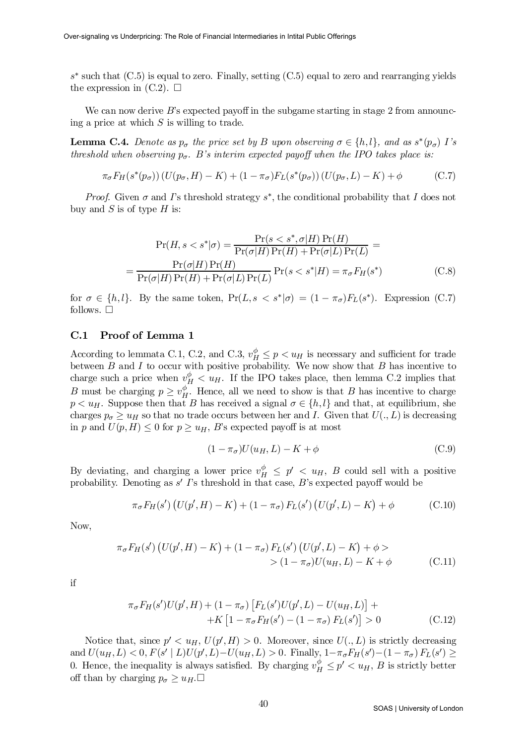$s^*$  such that  $(C.5)$  is equal to zero. Finally, setting  $(C.5)$  equal to zero and rearranging yields the expression in  $(C.2)$ .  $\square$ 

We can now derive  $B$ 's expected payoff in the subgame starting in stage 2 from announcing a price at which  $S$  is willing to trade.

**Lemma C.4.** Denote as  $p_{\sigma}$  the price set by B upon observing  $\sigma \in \{h, l\}$ , and as  $s^*(p_{\sigma})$  I's threshold when observing  $p_{\sigma}$ . B's interim expected payoff when the IPO takes place is:

$$
\pi_{\sigma} F_H(s^*(p_{\sigma})) (U(p_{\sigma}, H) - K) + (1 - \pi_{\sigma}) F_L(s^*(p_{\sigma})) (U(p_{\sigma}, L) - K) + \phi \tag{C.7}
$$

*Proof.* Given  $\sigma$  and  $\Gamma$ 's threshold strategy  $s^*$ , the conditional probability that  $I$  does not buy and  $S$  is of type  $H$  is:

$$
\Pr(H, s < s^* | \sigma) = \frac{\Pr(s < s^*, \sigma | H) \Pr(H)}{\Pr(\sigma | H) \Pr(H) + \Pr(\sigma | L) \Pr(L)} = \frac{\Pr(\sigma | H) \Pr(H)}{\Pr(\sigma | H) \Pr(H) + \Pr(\sigma | L) \Pr(L)} \Pr(s < s^* | H) = \pi_{\sigma} F_H(s^*) \tag{C.8}
$$

for  $\sigma \in \{h, l\}$ . By the same token,  $Pr(L, s < s^* | \sigma) = (1 - \pi_{\sigma}) F_L(s^*)$ . Expression (C.7) follows.  $\square$ 

## C.1 Proof of Lemma 1

=

According to lemmata C.1, C.2, and C.3,  $v_H^{\phi} \leq p \lt u_H$  is necessary and sufficient for trade between  $B$  and  $I$  to occur with positive probability. We now show that  $B$  has incentive to charge such a price when  $v_H^{\phi} < u_H$ . If the IPO takes place, then lemma C.2 implies that *B* must be charging  $p \geq v_H^{\phi}$  $_H^{\varphi}$ . Hence, all we need to show is that B has incentive to charge  $p < u_H$ . Suppose then that B has received a signal  $\sigma \in \{h, l\}$  and that, at equilibrium, she charges  $p_{\sigma} \geq u_H$  so that no trade occurs between her and I. Given that  $U(., L)$  is decreasing in p and  $U(p,H) \leq 0$  for  $p \geq u_H$ , B's expected payoff is at most

$$
(1 - \pi_{\sigma})U(u_H, L) - K + \phi \tag{C.9}
$$

By deviating, and charging a lower price  $v_H^{\phi} \leq p' \leq u_H$ , B could sell with a positive probability. Denoting as  $s'$   $\Gamma$ 's threshold in that case,  $B$ 's expected payoff would be

$$
\pi_{\sigma} F_H(s') \left( U(p', H) - K \right) + (1 - \pi_{\sigma}) F_L(s') \left( U(p', L) - K \right) + \phi \tag{C.10}
$$

Now,

$$
\pi_{\sigma} F_H(s') \left( U(p', H) - K \right) + (1 - \pi_{\sigma}) F_L(s') \left( U(p', L) - K \right) + \phi >
$$
  
> 
$$
\left( 1 - \pi_{\sigma} \right) U(u_H, L) - K + \phi \tag{C.11}
$$

if

$$
\pi_{\sigma} F_H(s')U(p', H) + (1 - \pi_{\sigma}) \left[ F_L(s')U(p', L) - U(u_H, L) \right] + K \left[ 1 - \pi_{\sigma} F_H(s') - (1 - \pi_{\sigma}) F_L(s') \right] > 0 \tag{C.12}
$$

Notice that, since  $p' < u_H$ ,  $U(p', H) > 0$ . Moreover, since  $U(., L)$  is strictly decreasing and  $U(u_H, L) < 0, F(s' | L)U(p', L) - U(u_H, L) > 0$ . Finally,  $1-\pi_{\sigma}F_H(s') - (1-\pi_{\sigma})F_L(s') \ge$ 0. Hence, the inequality is always satisfied. By charging  $v_H^{\phi} \leq p' \leq u_H$ , B is strictly better off than by charging  $p_{\sigma} \geq u_H$ .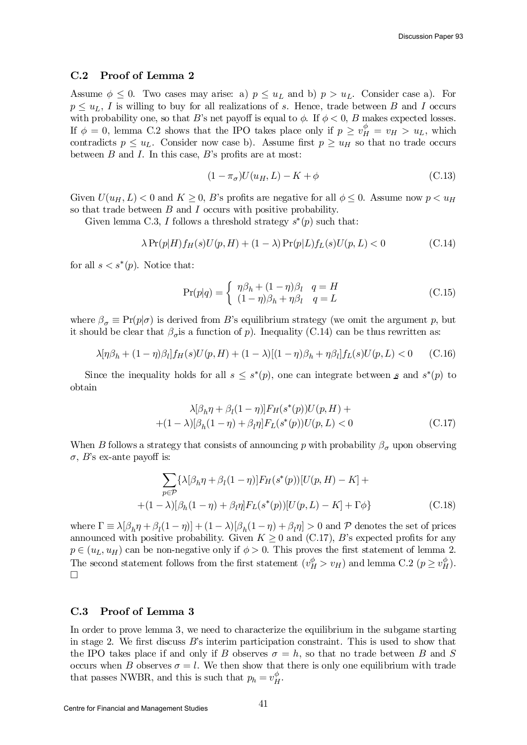#### C.2 Proof of Lemma 2

Assume  $\phi \leq 0$ . Two cases may arise: a)  $p \leq u_L$  and b)  $p > u_L$ . Consider case a). For  $p \leq u_L$ , I is willing to buy for all realizations of s. Hence, trade between B and I occurs with probability one, so that B's net payoff is equal to  $\phi$ . If  $\phi < 0$ , B makes expected losses. If  $\phi = 0$ , lemma C.2 shows that the IPO takes place only if  $p \ge v_H^{\phi} = v_H > u_L$ , which contradicts  $p \leq u_L$ . Consider now case b). Assume first  $p \geq u_H$  so that no trade occurs between  $B$  and  $I$ . In this case,  $B$ 's profits are at most:

$$
(1 - \pi_{\sigma})U(u_H, L) - K + \phi \tag{C.13}
$$

Given  $U(u_H, L) < 0$  and  $K \geq 0$ , B's profits are negative for all  $\phi \leq 0$ . Assume now  $p < u_H$ so that trade between  $B$  and  $I$  occurs with positive probability.

Given lemma C.3, I follows a threshold strategy  $s^*(p)$  such that:

$$
\lambda \Pr(p|H) f_H(s) U(p, H) + (1 - \lambda) \Pr(p|L) f_L(s) U(p, L) < 0 \tag{C.14}
$$

for all  $s < s^*(p)$ . Notice that:

$$
\Pr(p|q) = \begin{cases} \eta \beta_h + (1-\eta)\beta_l & q = H \\ (1-\eta)\beta_h + \eta \beta_l & q = L \end{cases}
$$
\n(C.15)

where  $\beta_{\sigma} \equiv \Pr(p|\sigma)$  is derived from B's equilibrium strategy (we omit the argument p, but it should be clear that  $\beta_{\sigma}$  is a function of p). Inequality (C.14) can be thus rewritten as:

$$
\lambda[\eta\beta_h + (1-\eta)\beta_l]f_H(s)U(p, H) + (1-\lambda)[(1-\eta)\beta_h + \eta\beta_l]f_L(s)U(p, L) < 0 \tag{C.16}
$$

Since the inequality holds for all  $s \leq s^*(p)$ , one can integrate between s and  $s^*(p)$  to obtain

$$
\lambda[\beta_h \eta + \beta_l (1 - \eta)] F_H(s^*(p)) U(p, H) ++(1 - \lambda)[\beta_h (1 - \eta) + \beta_l \eta] F_L(s^*(p)) U(p, L) < 0
$$
 (C.17)

When B follows a strategy that consists of announcing p with probability  $\beta_{\sigma}$  upon observing  $\sigma$ , B's ex-ante payoff is:

$$
\sum_{p \in \mathcal{P}} \{\lambda[\beta_h \eta + \beta_l (1 - \eta)] F_H(s^*(p))[U(p, H) - K] + (1 - \lambda)[\beta_h (1 - \eta) + \beta_l \eta] F_L(s^*(p))[U(p, L) - K] + \Gamma \phi\}
$$
(C.18)

where  $\Gamma \equiv \lambda [\beta_h \eta + \beta_l (1 - \eta)] + (1 - \lambda) [\beta_h (1 - \eta) + \beta_l \eta] > 0$  and P denotes the set of prices announced with positive probability. Given  $K \geq 0$  and  $(C.17)$ , B's expected profits for any  $p \in (u_L, u_H)$  can be non-negative only if  $\phi > 0$ . This proves the first statement of lemma 2. The second statement follows from the first statement  $(v_H^{\phi} > v_H)$  and lemma C.2  $(p \ge v_H^{\phi})$ . ¤

## C.3 Proof of Lemma 3

In order to prove lemma 3, we need to characterize the equilibrium in the subgame starting in stage 2. We first discuss  $B$ 's interim participation constraint. This is used to show that the IPO takes place if and only if B observes  $\sigma = h$ , so that no trade between B and S occurs when B observes  $\sigma = l$ . We then show that there is only one equilibrium with trade that passes NWBR, and this is such that  $p_h = v_H^{\phi}$  $_{H}^{\varphi}.$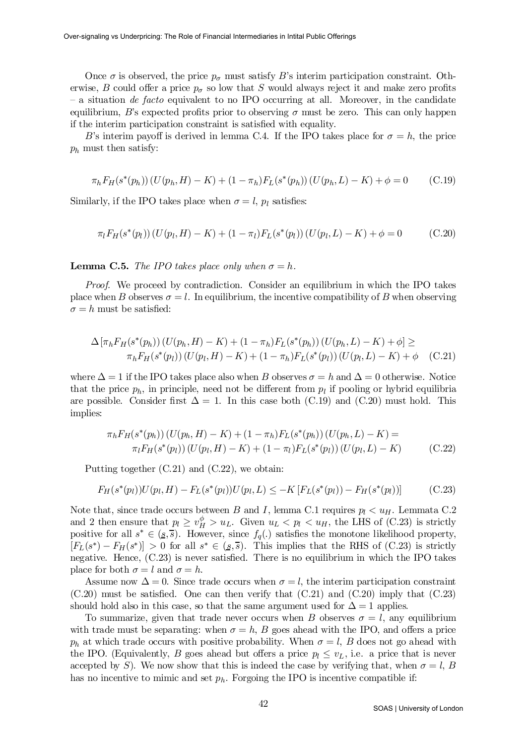Once  $\sigma$  is observed, the price  $p_{\sigma}$  must satisfy B's interim participation constraint. Otherwise, B could offer a price  $p_{\sigma}$  so low that S would always reject it and make zero profits  $-$  a situation *de facto* equivalent to no IPO occurring at all. Moreover, in the candidate equilibrium, B's expected profits prior to observing  $\sigma$  must be zero. This can only happen if the interim participation constraint is satisfied with equality.

B's interim payoff is derived in lemma C.4. If the IPO takes place for  $\sigma = h$ , the price  $p_h$  must then satisfy:

$$
\pi_h F_H(s^*(p_h)) (U(p_h, H) - K) + (1 - \pi_h) F_L(s^*(p_h)) (U(p_h, L) - K) + \phi = 0 \tag{C.19}
$$

Similarly, if the IPO takes place when  $\sigma = l$ ,  $p_l$  satisfies:

$$
\pi_l F_H(s^*(p_l)) (U(p_l, H) - K) + (1 - \pi_l) F_L(s^*(p_l)) (U(p_l, L) - K) + \phi = 0
$$
 (C.20)

**Lemma C.5.** The IPO takes place only when  $\sigma = h$ .

Proof. We proceed by contradiction. Consider an equilibrium in which the IPO takes place when B observes  $\sigma = l$ . In equilibrium, the incentive compatibility of B when observing  $\sigma = h$  must be satisfied:

$$
\Delta \left[ \pi_h F_H(s^*(p_h)) \left( U(p_h, H) - K \right) + (1 - \pi_h) F_L(s^*(p_h)) \left( U(p_h, L) - K \right) + \phi \right] \ge
$$
  
\n
$$
\pi_h F_H(s^*(p_l)) \left( U(p_l, H) - K \right) + (1 - \pi_h) F_L(s^*(p_l)) \left( U(p_l, L) - K \right) + \phi \quad \text{(C.21)}
$$

where  $\Delta = 1$  if the IPO takes place also when B observes  $\sigma = h$  and  $\Delta = 0$  otherwise. Notice that the price  $p_h$ , in principle, need not be different from  $p_l$  if pooling or hybrid equilibria are possible. Consider first  $\Delta = 1$ . In this case both (C.19) and (C.20) must hold. This implies:

$$
\pi_h F_H(s^*(p_h)) (U(p_h, H) - K) + (1 - \pi_h) F_L(s^*(p_h)) (U(p_h, L) - K) =
$$
  
\n
$$
\pi_l F_H(s^*(p_l)) (U(p_l, H) - K) + (1 - \pi_l) F_L(s^*(p_l)) (U(p_l, L) - K)
$$
 (C.22)

Putting together (C.21) and (C.22), we obtain:

$$
F_H(s^*(p_l))U(p_l, H) - F_L(s^*(p_l))U(p_l, L) \le -K \left[F_L(s^*(p_l)) - F_H(s^*(p_l))\right] \tag{C.23}
$$

Note that, since trade occurs between B and I, lemma C.1 requires  $p_l < u_H$ . Lemmata C.2 and 2 then ensure that  $p_l \ge v_H^{\phi} > u_L$ . Given  $u_L < p_l < u_H$ , the LHS of (C.23) is strictly positive for all  $s^* \in (\underline{s}, \overline{s})$ . However, since  $f_q(.)$  satisfies the monotone likelihood property,  $[F_L(s^*) - F_H(s^*)] > 0$  for all  $s^* \in (s, \overline{s})$ . This implies that the RHS of (C.23) is strictly negative. Hence,  $(C.23)$  is never satisfied. There is no equilibrium in which the IPO takes place for both  $\sigma = l$  and  $\sigma = h$ .

Assume now  $\Delta = 0$ . Since trade occurs when  $\sigma = l$ , the interim participation constraint  $(C.20)$  must be satisfied. One can then verify that  $(C.21)$  and  $(C.20)$  imply that  $(C.23)$ should hold also in this case, so that the same argument used for  $\Delta = 1$  applies.

To summarize, given that trade never occurs when B observes  $\sigma = l$ , any equilibrium with trade must be separating: when  $\sigma = h$ , B goes ahead with the IPO, and offers a price  $p_h$  at which trade occurs with positive probability. When  $\sigma = l$ , B does not go ahead with the IPO. (Equivalently, B goes ahead but offers a price  $p_l \leq v_L$ , i.e. a price that is never accepted by S). We now show that this is indeed the case by verifying that, when  $\sigma = l$ , B has no incentive to mimic and set  $p_h$ . Forgoing the IPO is incentive compatible if: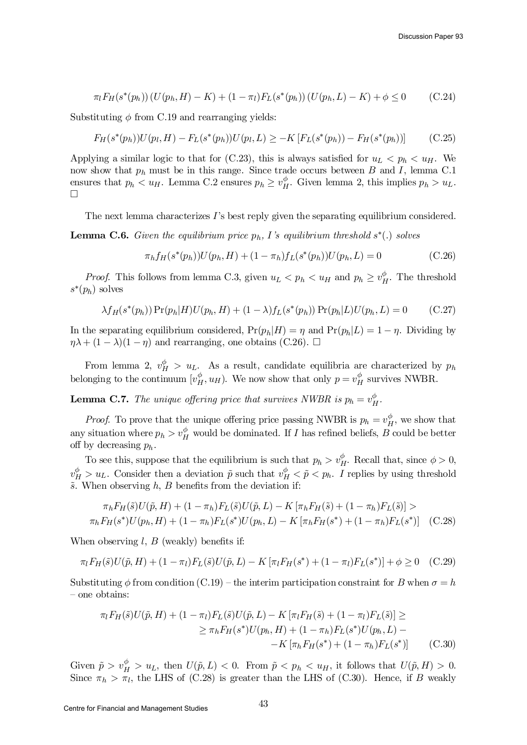$$
\pi_l F_H(s^*(p_h)) (U(p_h, H) - K) + (1 - \pi_l) F_L(s^*(p_h)) (U(p_h, L) - K) + \phi \le 0 \tag{C.24}
$$

Substituting  $\phi$  from C.19 and rearranging yields:

$$
F_H(s^*(p_h))U(p_l, H) - F_L(s^*(p_h))U(p_l, L) \ge -K\left[F_L(s^*(p_h)) - F_H(s^*(p_h))\right] \tag{C.25}
$$

Applying a similar logic to that for (C.23), this is always satisfied for  $u_L < p_h < u_H$ . We now show that  $p_h$  must be in this range. Since trade occurs between  $B$  and  $I$ , lemma C.1 ensures that  $p_h < u_H$ . Lemma C.2 ensures  $p_h \geq v_H^{\phi}$  $_{H}^{\varphi}$ . Given lemma 2, this implies  $p_h > u_L$ . ¤

The next lemma characterizes  $I$ 's best reply given the separating equilibrium considered.

**Lemma C.6.** Given the equilibrium price  $p_h$ , I's equilibrium threshold  $s^*(.)$  solves

$$
\pi_h f_H(s^*(p_h)) U(p_h, H) + (1 - \pi_h) f_L(s^*(p_h)) U(p_h, L) = 0 \tag{C.26}
$$

*Proof.* This follows from lemma C.3, given  $u_L < p_h < u_H$  and  $p_h \geq v_L^{\phi}$  $_H^{\varphi}$ . The threshold  $s^*(p_h)$  solves

$$
\lambda f_H(s^*(p_h)) \Pr(p_h|H) U(p_h, H) + (1 - \lambda) f_L(s^*(p_h)) \Pr(p_h|L) U(p_h, L) = 0 \tag{C.27}
$$

In the separating equilibrium considered,  $Pr(p_h|H) = \eta$  and  $Pr(p_h|L) = 1 - \eta$ . Dividing by  $\eta \lambda + (1 - \lambda)(1 - \eta)$  and rearranging, one obtains (C.26).  $\Box$ 

From lemma 2,  $v_H^{\phi} > u_L$ . As a result, candidate equilibria are characterized by  $p_h$ belonging to the continuum  $[v_H^{\phi}]$  $_{H}^{\phi}$ ,  $u_H$ ). We now show that only  $p = v_H^{\phi}$  $_{H}^{\phi}$  survives NWBR.

**Lemma C.7.** The unique offering price that survives NWBR is  $p_h = v_E^{\phi}$  $_{H}^{\varphi}$  .

*Proof.* To prove that the unique offering price passing NWBR is  $p_h = v_H^{\phi}$  $_H^{\phi}$ , we show that any situation where  $p_h > v_H^{\phi}$  would be dominated. If I has refined beliefs, B could be better off by decreasing  $p_h$ .

To see this, suppose that the equilibrium is such that  $p_h > v_L^{\phi}$  $_{H}^{\phi}$ . Recall that, since  $\phi > 0$ ,  $v_H^{\phi} > u_L$ . Consider then a deviation  $\tilde{p}$  such that  $v_H^{\phi} < \tilde{p} < p_h$ . I replies by using threshold  $\tilde{s}$ . When observing h, B benefits from the deviation if:

$$
\pi_h F_H(\tilde{s}) U(\tilde{p}, H) + (1 - \pi_h) F_L(\tilde{s}) U(\tilde{p}, L) - K [\pi_h F_H(\tilde{s}) + (1 - \pi_h) F_L(\tilde{s})] >
$$
  

$$
\pi_h F_H(s^*) U(p_h, H) + (1 - \pi_h) F_L(s^*) U(p_h, L) - K [\pi_h F_H(s^*) + (1 - \pi_h) F_L(s^*)]
$$
 (C.28)

When observing  $l, B$  (weakly) benefits if:

$$
\pi_l F_H(\tilde{s}) U(\tilde{p}, H) + (1 - \pi_l) F_L(\tilde{s}) U(\tilde{p}, L) - K [\pi_l F_H(s^*) + (1 - \pi_l) F_L(s^*)] + \phi \ge 0 \quad (C.29)
$$

Substituting  $\phi$  from condition (C.19) – the interim participation constraint for B when  $\sigma = h$ – one obtains:

$$
\pi_l F_H(\tilde{s}) U(\tilde{p}, H) + (1 - \pi_l) F_L(\tilde{s}) U(\tilde{p}, L) - K \left[ \pi_l F_H(\tilde{s}) + (1 - \pi_l) F_L(\tilde{s}) \right] \ge
$$
  
 
$$
\ge \pi_h F_H(s^*) U(p_h, H) + (1 - \pi_h) F_L(s^*) U(p_h, L) -
$$
  
- K \left[ \pi\_h F\_H(s^\*) + (1 - \pi\_h) F\_L(s^\*) \right] \qquad (C.30)

Given  $\tilde{p} > v_H^{\phi} > u_L$ , then  $U(\tilde{p}, L) < 0$ . From  $\tilde{p} < p_h < u_H$ , it follows that  $U(\tilde{p}, H) > 0$ . Since  $\pi_h > \pi_l$ , the LHS of (C.28) is greater than the LHS of (C.30). Hence, if B weakly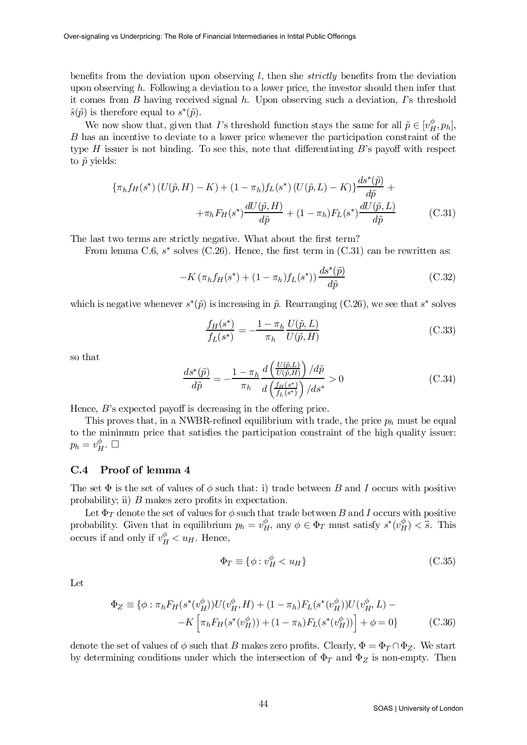benefits from the deviation upon observing  $l$ , then she *strictly* benefits from the deviation upon observing h. Following a deviation to a lower price, the investor should then infer that it comes from  $B$  having received signal  $h$ . Upon observing such a deviation,  $\Gamma$ 's threshold  $\tilde{s}(\tilde{p})$  is therefore equal to  $s^*(\tilde{p})$ .

We now show that, given that I's threshold function stays the same for all  $\tilde{p} \in [v_H^{\phi}, p_h]$ , B has an incentive to deviate to a lower price whenever the participation constraint of the type  $H$  issuer is not binding. To see this, note that differentiating  $B$ 's payoff with respect to  $\tilde{p}$  yields:

$$
\{\pi_h f_H(s^*)(U(\tilde{p}, H) - K) + (1 - \pi_h) f_L(s^*)(U(\tilde{p}, L) - K)\} \frac{ds^*(\tilde{p})}{d\tilde{p}} ++\pi_h F_H(s^*) \frac{dU(\tilde{p}, H)}{d\tilde{p}} + (1 - \pi_h) F_L(s^*) \frac{dU(\tilde{p}, L)}{d\tilde{p}}
$$
(C.31)

The last two terms are strictly negative. What about the first term?

From lemma C.6,  $s^*$  solves (C.26). Hence, the first term in (C.31) can be rewritten as:

$$
-K\left(\pi_h f_H(s^*) + (1 - \pi_h) f_L(s^*)\right) \frac{ds^*(\tilde{p})}{d\tilde{p}}\tag{C.32}
$$

which is negative whenever  $s^*(\tilde{p})$  is increasing in  $\tilde{p}$ . Rearranging (C.26), we see that  $s^*$  solves

$$
\frac{f_H(s^*)}{f_L(s^*)} = -\frac{1 - \pi_h U(\tilde{p}, L)}{\pi_h U(\tilde{p}, H)}
$$
\n(C.33)

so that

$$
\frac{ds^*(\tilde{p})}{d\tilde{p}} = -\frac{1 - \pi_h}{\pi_h} \frac{d\left(\frac{U(\tilde{p}, L)}{U(\tilde{p}, H)}\right) / d\tilde{p}}{d\left(\frac{f_H(s^*)}{f_L(s^*)}\right) / ds^*} > 0
$$
\n(C.34)

Hence,  $B$ 's expected payoff is decreasing in the offering price.

This proves that, in a NWBR-refined equilibrium with trade, the price  $p_h$  must be equal to the minimum price that satisfies the participation constraint of the high quality issuer:  $p_h = v_B^\phi$  $_H^{\varphi}$ .  $\Box$ 

## C.4 Proof of lemma 4

The set  $\Phi$  is the set of values of  $\phi$  such that: i) trade between B and I occurs with positive probability; ii)  $B$  makes zero profits in expectation.

Let  $\Phi_T$  denote the set of values for  $\phi$  such that trade between B and I occurs with positive probability. Given that in equilibrium  $p_h = v_H^{\phi}$ , any  $\phi \in \Phi_T$  must satisfy  $s^*(v_H^{\phi}) < \overline{s}$ . This occurs if and only if  $v_H^{\phi} < u_H$ . Hence,

$$
\Phi_T \equiv \{ \phi : v_H^{\phi} < u_H \} \tag{C.35}
$$

Let

$$
\Phi_Z \equiv \{ \phi : \pi_h F_H(s^*(v_H^{\phi})) U(v_H^{\phi}, H) + (1 - \pi_h) F_L(s^*(v_H^{\phi})) U(v_H^{\phi}, L) - K \left[ \pi_h F_H(s^*(v_H^{\phi})) + (1 - \pi_h) F_L(s^*(v_H^{\phi})) \right] + \phi = 0 \}
$$
(C.36)

denote the set of values of  $\phi$  such that B makes zero profits. Clearly,  $\Phi = \Phi_T \cap \Phi_Z$ . We start by determining conditions under which the intersection of  $\Phi_T$  and  $\Phi_Z$  is non-empty. Then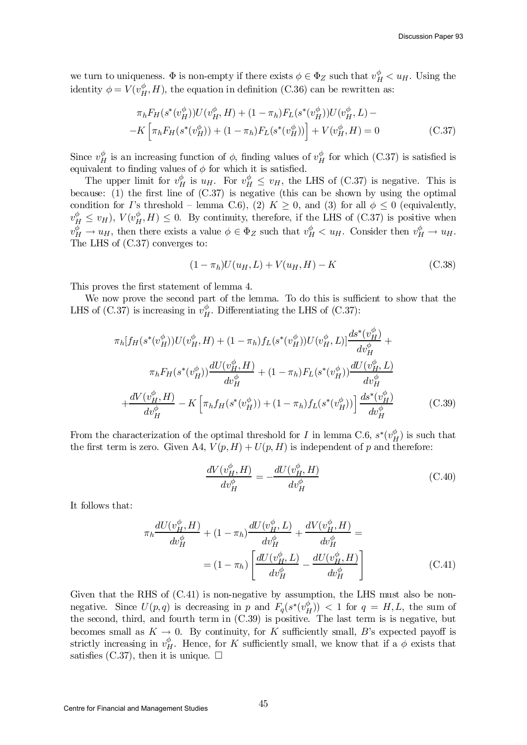we turn to uniqueness.  $\Phi$  is non-empty if there exists  $\phi \in \Phi_Z$  such that  $v_H^{\phi} < u_H$ . Using the identity  $\phi = V(v_H^{\phi})$  $_{H}^{\phi}$ , H), the equation in definition (C.36) can be rewritten as:

$$
\pi_h F_H(s^*(v_H^{\phi})) U(v_H^{\phi}, H) + (1 - \pi_h) F_L(s^*(v_H^{\phi})) U(v_H^{\phi}, L) - K \left[ \pi_h F_H(s^*(v_H^{\phi})) + (1 - \pi_h) F_L(s^*(v_H^{\phi})) \right] + V(v_H^{\phi}, H) = 0
$$
\n(C.37)

Since  $v_H^{\phi}$  is an increasing function of  $\phi$ , finding values of  $v_H^{\phi}$  for which (C.37) is satisfied is equivalent to finding values of  $\phi$  for which it is satisfied.

The upper limit for  $v_H^{\phi}$  is  $u_H$ . For  $v_H^{\phi} \leq v_H$ , the LHS of (C.37) is negative. This is because: (1) the first line of  $(C.37)$  is negative (this can be shown by using the optimal condition for I's threshold – lemma C.6), (2)  $K \geq 0$ , and (3) for all  $\phi \leq 0$  (equivalently,  $v_H^{\phi} \leq v_H$ ),  $V(v_H^{\phi})$  $_{H}^{\phi}$ ,  $H$ )  $\leq$  0. By continuity, therefore, if the LHS of (C.37) is positive when  $v_H^{\phi} \to u_H$ , then there exists a value  $\phi \in \Phi_Z$  such that  $v_H^{\phi} < u_H$ . Consider then  $v_H^{\phi} \to u_H$ . The LHS of (C.37) converges to:

$$
(1 - \pi_h)U(u_H, L) + V(u_H, H) - K \tag{C.38}
$$

This proves the first statement of lemma 4.

We now prove the second part of the lemma. To do this is sufficient to show that the LHS of  $(C.37)$  is increasing in  $v_H^{\phi}$  $_H^{\phi}$ . Differentiating the LHS of (C.37):

$$
\pi_h[f_H(s^*(v_H^{\phi}))U(v_H^{\phi}, H) + (1 - \pi_h)f_L(s^*(v_H^{\phi}))U(v_H^{\phi}, L)]\frac{ds^*(v_H^{\phi})}{dv_H^{\phi}} + \frac{\pi_h F_H(s^*(v_H^{\phi}))\frac{dU(v_H^{\phi}, H)}{dv_H^{\phi}} + (1 - \pi_h)F_L(s^*(v_H^{\phi}))\frac{dU(v_H^{\phi}, L)}{dv_H^{\phi}} + \frac{dV(v_H^{\phi}, H)}{dv_H^{\phi}} - K\left[\pi_h f_H(s^*(v_H^{\phi})) + (1 - \pi_h)f_L(s^*(v_H^{\phi}))\right]\frac{ds^*(v_H^{\phi})}{dv_H^{\phi}} \tag{C.39}
$$

From the characterization of the optimal threshold for I in lemma C.6,  $s^*(v_k^{\phi})$  $_{H}^{\phi}$ ) is such that the first term is zero. Given A4,  $V(p, H) + U(p, H)$  is independent of p and therefore:

$$
\frac{dV(v_H^{\phi}, H)}{dv_H^{\phi}} = -\frac{dU(v_H^{\phi}, H)}{dv_H^{\phi}}
$$
(C.40)

It follows that:

$$
\pi_h \frac{dU(v_H^{\phi}, H)}{dv_H^{\phi}} + (1 - \pi_h) \frac{dU(v_H^{\phi}, L)}{dv_H^{\phi}} + \frac{dV(v_H^{\phi}, H)}{dv_H^{\phi}} =
$$
  
= 
$$
(1 - \pi_h) \left[ \frac{dU(v_H^{\phi}, L)}{dv_H^{\phi}} - \frac{dU(v_H^{\phi}, H)}{dv_H^{\phi}} \right]
$$
(C.41)

Given that the RHS of  $(C.41)$  is non-negative by assumption, the LHS must also be nonnegative. Since  $U(p,q)$  is decreasing in p and  $F_q(s^*(v_B^{\phi}))$  $\binom{p}{H}$  > (1 for  $q = H, L$ , the sum of the second, third, and fourth term in (C.39) is positive. The last term is is negative, but becomes small as  $K \to 0$ . By continuity, for K sufficiently small, B's expected payoff is strictly increasing in  $v_H^{\phi}$ . Hence, for K sufficiently small, we know that if a  $\phi$  exists that satisfies (C.37), then it is unique.  $\Box$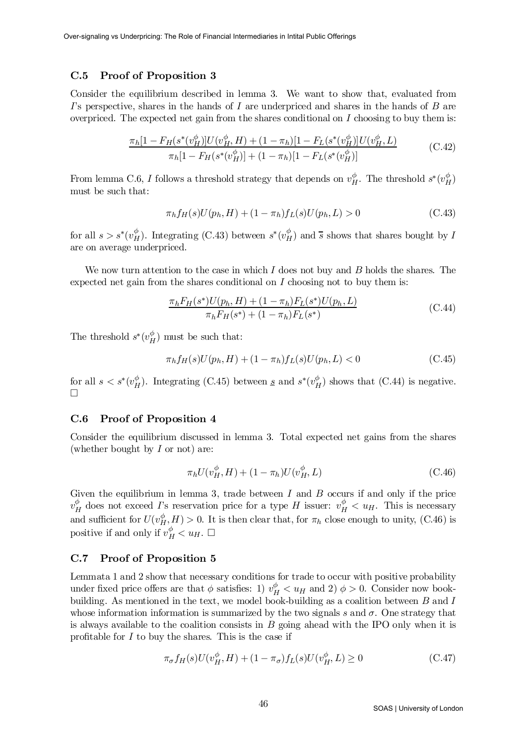## C.5 Proof of Proposition 3

Consider the equilibrium described in lemma 3. We want to show that, evaluated from I's perspective, shares in the hands of I are underpriced and shares in the hands of B are overpriced. The expected net gain from the shares conditional on  $I$  choosing to buy them is:

$$
\frac{\pi_h[1 - F_H(s^*(v_H^{\phi})]U(v_H^{\phi}, H) + (1 - \pi_h)[1 - F_L(s^*(v_H^{\phi})]U(v_H^{\phi}, L))}{\pi_h[1 - F_H(s^*(v_H^{\phi})] + (1 - \pi_h)[1 - F_L(s^*(v_H^{\phi}))]}
$$
(C.42)

From lemma C.6, I follows a threshold strategy that depends on  $v_H^{\phi}$ . The threshold  $s^*(v_H^{\phi})$ must be such that:

$$
\pi_h f_H(s) U(p_h, H) + (1 - \pi_h) f_L(s) U(p_h, L) > 0 \tag{C.43}
$$

for all  $s > s^*(v_H^{\phi})$ . Integrating (C.43) between  $s^*(v_H^{\phi})$  and  $\overline{s}$  shows that shares bought by I are on average underpriced.

We now turn attention to the case in which  $I$  does not buy and  $B$  holds the shares. The expected net gain from the shares conditional on  $I$  choosing not to buy them is:

$$
\frac{\pi_h F_H(s^*) U(p_h, H) + (1 - \pi_h) F_L(s^*) U(p_h, L)}{\pi_h F_H(s^*) + (1 - \pi_h) F_L(s^*)}
$$
\n(C.44)

The threshold  $s^*(v_H^{\phi})$  $_{H}^{\varphi}$ ) must be such that:

$$
\pi_h f_H(s) U(p_h, H) + (1 - \pi_h) f_L(s) U(p_h, L) < 0 \tag{C.45}
$$

for all  $s < s^*(v_H^{\phi}$  $_{H}^{\phi}$ ). Integrating (C.45) between <u>s</u> and s<sup>\*</sup>( $v_{L}^{\phi}$ )  $_{H}^{\phi}$ ) shows that (C.44) is negative.  $\Box$ 

## C.6 Proof of Proposition 4

Consider the equilibrium discussed in lemma 3. Total expected net gains from the shares (whether bought by  $I$  or not) are:

$$
\pi_h U(v_H^{\phi}, H) + (1 - \pi_h) U(v_H^{\phi}, L) \tag{C.46}
$$

Given the equilibrium in lemma 3, trade between  $I$  and  $B$  occurs if and only if the price  $v^\phi_L$  $_H^{\phi}$  does not exceed  $\Gamma$ 's reservation price for a type H issuer:  $v_H^{\phi} < u_H$ . This is necessary and sufficient for  $U(v_H^{\phi}, H) > 0$ . It is then clear that, for  $\pi_h$  close enough to unity, (C.46) is positive if and only if  $v_H^{\phi} < u_H$ .  $\Box$ 

## C.7 Proof of Proposition 5

Lemmata 1 and 2 show that necessary conditions for trade to occur with positive probability under fixed price offers are that  $\phi$  satisfies: 1)  $v_H^{\phi} < u_H$  and 2)  $\phi > 0$ . Consider now bookbuilding. As mentioned in the text, we model book-building as a coalition between  $B$  and  $I$ whose information information is summarized by the two signals s and  $\sigma$ . One strategy that is always available to the coalition consists in  $B$  going ahead with the IPO only when it is profitable for  $I$  to buy the shares. This is the case if

$$
\pi_{\sigma} f_H(s) U(v_H^{\phi}, H) + (1 - \pi_{\sigma}) f_L(s) U(v_H^{\phi}, L) \ge 0
$$
\n(C.47)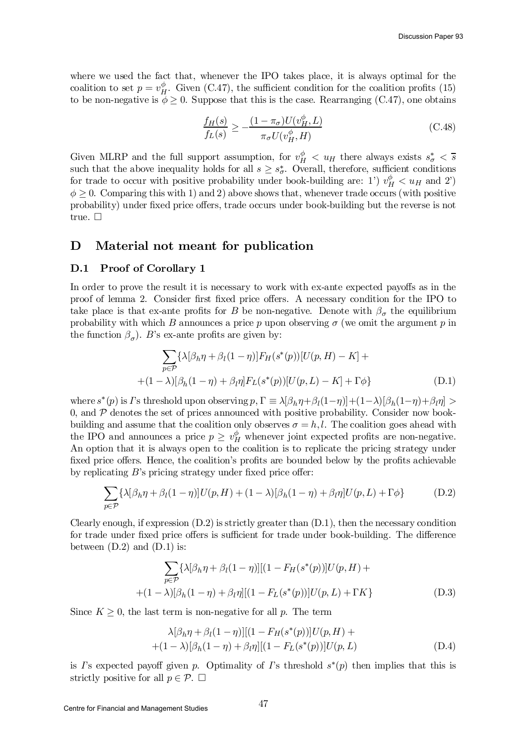where we used the fact that, whenever the IPO takes place, it is always optimal for the coalition to set  $p = v_H^{\phi}$  $_H^{\varphi}$ . Given (C.47), the sufficient condition for the coalition profits (15) to be non-negative is  $\phi \geq 0$ . Suppose that this is the case. Rearranging (C.47), one obtains

$$
\frac{f_H(s)}{f_L(s)} \ge -\frac{(1 - \pi_{\sigma})U(v_H^{\phi}, L)}{\pi_{\sigma}U(v_H^{\phi}, H)}
$$
\n(C.48)

Given MLRP and the full support assumption, for  $v_H^{\phi}$   $\lt u_H$  there always exists  $s_{\sigma}^*$   $\lt \overline{s}$ such that the above inequality holds for all  $s \geq s^*_{\sigma}$ . Overall, therefore, sufficient conditions for trade to occur with positive probability under book-building are: 1')  $v_H^{\phi} < u_H$  and 2')  $\phi \geq 0$ . Comparing this with 1) and 2) above shows that, whenever trade occurs (with positive probability) under fixed price offers, trade occurs under book-building but the reverse is not true.  $\square$ 

# D Material not meant for publication

## D.1 Proof of Corollary 1

In order to prove the result it is necessary to work with ex-ante expected payoffs as in the proof of lemma 2. Consider first fixed price offers. A necessary condition for the IPO to take place is that ex-ante profits for B be non-negative. Denote with  $\beta_{\sigma}$  the equilibrium probability with which B announces a price p upon observing  $\sigma$  (we omit the argument p in the function  $\beta_{\sigma}$ ). B's ex-ante profits are given by:

$$
\sum_{p \in \mathcal{P}} \{\lambda[\beta_h \eta + \beta_l (1 - \eta)] F_H(s^*(p))[U(p, H) - K] +
$$
  
+(1 - \lambda)[\beta\_h (1 - \eta) + \beta\_l \eta] F\_L(s^\*(p))[U(p, L) - K] + \Gamma \phi\} (D.1)

where  $s^*(p)$  is *I*'s threshold upon observing  $p, \Gamma \equiv \lambda[\beta_h \eta + \beta_l(1-\eta)] + (1-\lambda)[\beta_h(1-\eta) + \beta_l \eta] >$ 0, and  $\mathcal P$  denotes the set of prices announced with positive probability. Consider now bookbuilding and assume that the coalition only observes  $\sigma = h, l$ . The coalition goes ahead with the IPO and announces a price  $p \geq v_H^{\phi}$  whenever joint expected profits are non-negative. An option that it is always open to the coalition is to replicate the pricing strategy under fixed price offers. Hence, the coalition's profits are bounded below by the profits achievable by replicating  $B$ 's pricing strategy under fixed price offer:

$$
\sum_{p \in \mathcal{P}} {\{\lambda[\beta_h \eta + \beta_l(1-\eta)]U(p, H) + (1-\lambda)[\beta_h(1-\eta) + \beta_l \eta]U(p, L) + \Gamma \phi\}} \tag{D.2}
$$

Clearly enough, if expression  $(D.2)$  is strictly greater than  $(D.1)$ , then the necessary condition for trade under fixed price offers is sufficient for trade under book-building. The difference between  $(D.2)$  and  $(D.1)$  is:

$$
\sum_{p \in \mathcal{P}} {\{\lambda[\beta_h \eta + \beta_l(1-\eta)][(1 - F_H(s^*(p))]U(p, H) ++(1-\lambda)[\beta_h(1-\eta) + \beta_l \eta][(1 - F_L(s^*(p))]U(p, L) + \Gamma K\}}
$$
(D.3)

Since  $K \geq 0$ , the last term is non-negative for all p. The term

$$
\lambda[\beta_h \eta + \beta_l (1 - \eta)][(1 - F_H(s^*(p))]U(p, H) ++(1 - \lambda)[\beta_h (1 - \eta) + \beta_l \eta][(1 - F_L(s^*(p))]U(p, L)
$$
(D.4)

is I's expected payoff given p. Optimality of I's threshold  $s^*(p)$  then implies that this is strictly positive for all  $p \in \mathcal{P}$ .  $\Box$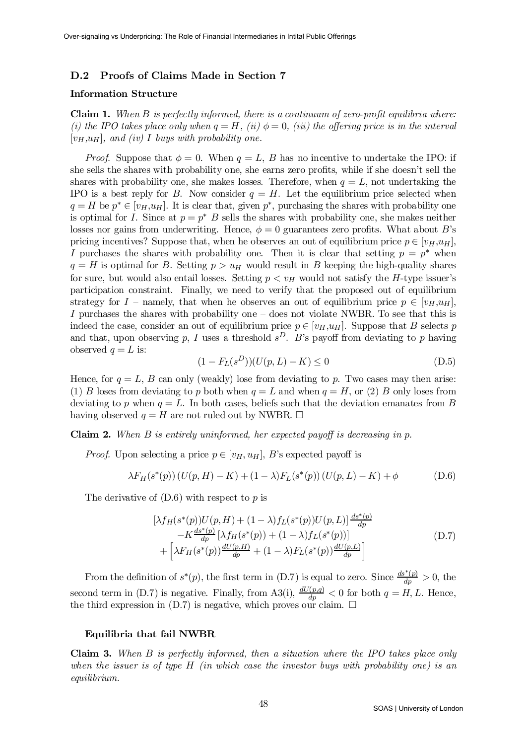## D.2 Proofs of Claims Made in Section 7

## Information Structure

**Claim 1.** When B is perfectly informed, there is a continuum of zero-profit equilibria where: (i) the IPO takes place only when  $q = H$ , (ii)  $\phi = 0$ , (iii) the offering price is in the interval  $[v_H, u_H]$ , and (iv) I buys with probability one.

*Proof.* Suppose that  $\phi = 0$ . When  $q = L$ , B has no incentive to undertake the IPO: if she sells the shares with probability one, she earns zero profits, while if she doesn't sell the shares with probability one, she makes losses. Therefore, when  $q = L$ , not undertaking the IPO is a best reply for B. Now consider  $q = H$ . Let the equilibrium price selected when  $q = H$  be  $p^* \in [v_H, u_H]$ . It is clear that, given  $p^*$ , purchasing the shares with probability one is optimal for I. Since at  $p = p^*$  B sells the shares with probability one, she makes neither losses nor gains from underwriting. Hence,  $\phi = 0$  guarantees zero profits. What about B's pricing incentives? Suppose that, when he observes an out of equilibrium price  $p \in [v_H, u_H]$ , I purchases the shares with probability one. Then it is clear that setting  $p = p^*$  when  $q = H$  is optimal for B. Setting  $p > u_H$  would result in B keeping the high-quality shares for sure, but would also entail losses. Setting  $p < v_H$  would not satisfy the H-type issuer's participation constraint. Finally, we need to verify that the proposed out of equilibrium strategy for I – namely, that when he observes an out of equilibrium price  $p \in [v_H, u_H]$ , I purchases the shares with probability one  $-$  does not violate NWBR. To see that this is indeed the case, consider an out of equilibrium price  $p \in [v_H, u_H]$ . Suppose that B selects p and that, upon observing p, I uses a threshold  $s^D$ . B's payoff from deviating to p having observed  $q = L$  is:

$$
(1 - FL(sD))(U(p, L) - K) \le 0
$$
\n(D.5)

Hence, for  $q = L$ , B can only (weakly) lose from deviating to p. Two cases may then arise: (1) B loses from deviating to p both when  $q = L$  and when  $q = H$ , or (2) B only loses from deviating to p when  $q = L$ . In both cases, beliefs such that the deviation emanates from B having observed  $q = H$  are not ruled out by NWBR.  $\Box$ 

### **Claim 2.** When B is entirely uninformed, her expected payoff is decreasing in p.

*Proof.* Upon selecting a price  $p \in [v_H, u_H]$ , B's expected payoff is

$$
\lambda F_H(s^*(p)) (U(p, H) - K) + (1 - \lambda) F_L(s^*(p)) (U(p, L) - K) + \phi
$$
 (D.6)

The derivative of  $(D.6)$  with respect to p is

$$
\left[\lambda f_H(s^*(p))U(p,H) + (1-\lambda)f_L(s^*(p))U(p,L)\right] \frac{ds^*(p)}{dp} \n- K \frac{ds^*(p)}{dp} \left[\lambda f_H(s^*(p)) + (1-\lambda)f_L(s^*(p))\right] \n+ \left[\lambda F_H(s^*(p)) \frac{dU(p,H)}{dp} + (1-\lambda)F_L(s^*(p)) \frac{dU(p,L)}{dp}\right]
$$
\n(D.7)

From the definition of  $s^*(p)$ , the first term in (D.7) is equal to zero. Since  $\frac{ds^*(p)}{dp} > 0$ , the second term in (D.7) is negative. Finally, from A3(i),  $\frac{dU(p,q)}{dp} < 0$  for both  $q = H, L$ . Hence, the third expression in  $(D.7)$  is negative, which proves our claim.  $\Box$ 

#### Equilibria that fail NWBR

**Claim 3.** When  $B$  is perfectly informed, then a situation where the IPO takes place only when the issuer is of type  $H$  (in which case the investor buys with probability one) is an equilibrium.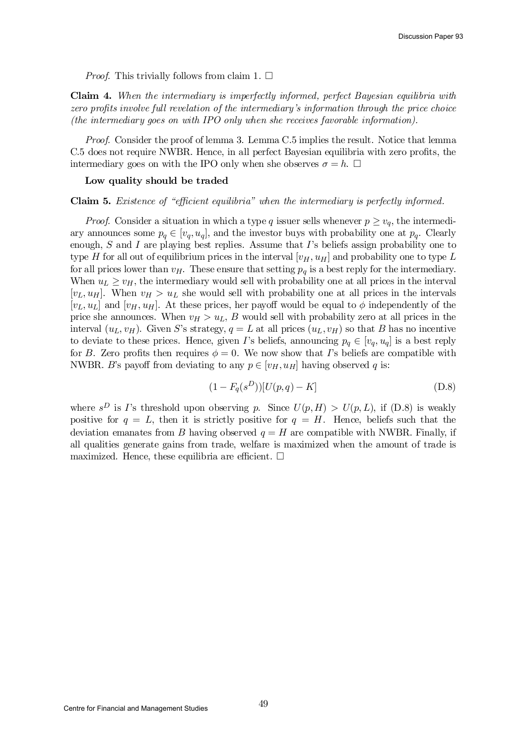*Proof.* This trivially follows from claim 1.  $\square$ 

Claim 4. When the intermediary is imperfectly informed, perfect Bayesian equilibria with zero profits involve full revelation of the intermediary's information through the price choice (the intermediary goes on with IPO only when she receives favorable information).

Proof. Consider the proof of lemma 3. Lemma C.5 implies the result. Notice that lemma C.5 does not require NWBR. Hence, in all perfect Bayesian equilibria with zero profits, the intermediary goes on with the IPO only when she observes  $\sigma = h$ .  $\Box$ 

#### Low quality should be traded

Claim 5. Existence of "efficient equilibria" when the intermediary is perfectly informed.

*Proof.* Consider a situation in which a type q issuer sells whenever  $p \ge v_q$ , the intermediary announces some  $p_q \in [v_q, u_q]$ , and the investor buys with probability one at  $p_q$ . Clearly enough,  $S$  and  $I$  are playing best replies. Assume that  $I$ 's beliefs assign probability one to type H for all out of equilibrium prices in the interval  $[v_H, u_H]$  and probability one to type L for all prices lower than  $v_H$ . These ensure that setting  $p_q$  is a best reply for the intermediary. When  $u_L \geq v_H$ , the intermediary would sell with probability one at all prices in the interval  $[v_L, u_H]$ . When  $v_H > u_L$  she would sell with probability one at all prices in the intervals  $[v_L, u_L]$  and  $[v_H, u_H]$ . At these prices, her payoff would be equal to  $\phi$  independently of the price she announces. When  $v_H > u_L$ , B would sell with probability zero at all prices in the interval  $(u_L, v_H)$ . Given S's strategy,  $q = L$  at all prices  $(u_L, v_H)$  so that B has no incentive to deviate to these prices. Hence, given I's beliefs, announcing  $p_q \in [v_q, u_q]$  is a best reply for B. Zero profits then requires  $\phi = 0$ . We now show that I's beliefs are compatible with NWBR. B's payoff from deviating to any  $p \in [v_H, u_H]$  having observed q is:

$$
(1 - F_q(s^D))[U(p, q) - K]
$$
 (D.8)

where  $s^D$  is I's threshold upon observing p. Since  $U(p,H) > U(p,L)$ , if  $(D.8)$  is weakly positive for  $q = L$ , then it is strictly positive for  $q = H$ . Hence, beliefs such that the deviation emanates from B having observed  $q = H$  are compatible with NWBR. Finally, if all qualities generate gains from trade, welfare is maximized when the amount of trade is maximized. Hence, these equilibria are efficient.  $\Box$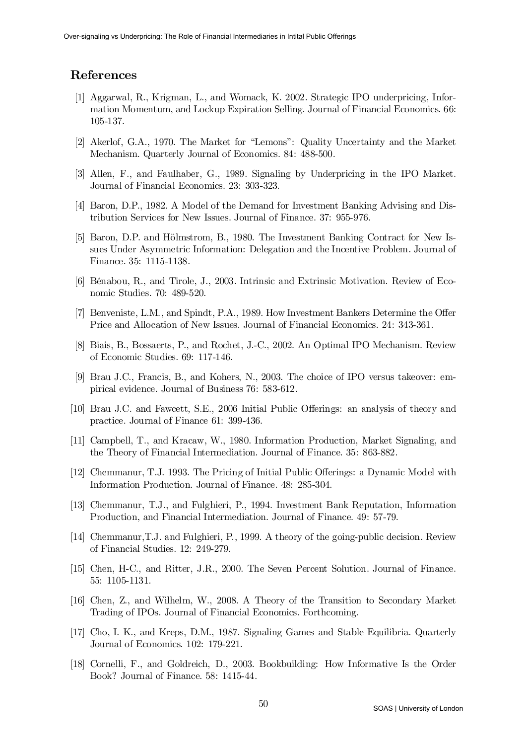# References

- [1] Aggarwal, R., Krigman, L., and Womack, K. 2002. Strategic IPO underpricing, Information Momentum, and Lockup Expiration Selling. Journal of Financial Economics. 66: 105-137.
- [2] Akerlof, G.A., 1970. The Market for "Lemons": Quality Uncertainty and the Market Mechanism. Quarterly Journal of Economics. 84: 488-500.
- [3] Allen, F., and Faulhaber, G., 1989. Signaling by Underpricing in the IPO Market. Journal of Financial Economics. 23: 303-323.
- [4] Baron, D.P., 1982. A Model of the Demand for Investment Banking Advising and Distribution Services for New Issues. Journal of Finance. 37: 955-976.
- [5] Baron, D.P. and HÄolmstrom, B., 1980. The Investment Banking Contract for New Issues Under Asymmetric Information: Delegation and the Incentive Problem. Journal of Finance. 35: 1115-1138.
- [6] Bénabou, R., and Tirole, J., 2003. Intrinsic and Extrinsic Motivation. Review of Economic Studies. 70: 489-520.
- [7] Benveniste, L.M., and Spindt, P.A., 1989. How Investment Bankers Determine the Offer Price and Allocation of New Issues. Journal of Financial Economics. 24: 343-361.
- [8] Biais, B., Bossaerts, P., and Rochet, J.-C., 2002. An Optimal IPO Mechanism. Review of Economic Studies. 69: 117-146.
- [9] Brau J.C., Francis, B., and Kohers, N., 2003. The choice of IPO versus takeover: empirical evidence. Journal of Business 76: 583-612.
- [10] Brau J.C. and Fawcett, S.E., 2006 Initial Public Offerings: an analysis of theory and practice. Journal of Finance 61: 399-436.
- [11] Campbell, T., and Kracaw, W., 1980. Information Production, Market Signaling, and the Theory of Financial Intermediation. Journal of Finance. 35: 863-882.
- [12] Chemmanur, T.J. 1993. The Pricing of Initial Public Offerings: a Dynamic Model with Information Production. Journal of Finance. 48: 285-304.
- [13] Chemmanur, T.J., and Fulghieri, P., 1994. Investment Bank Reputation, Information Production, and Financial Intermediation. Journal of Finance. 49: 57-79.
- [14] Chemmanur,T.J. and Fulghieri, P., 1999. A theory of the going-public decision. Review of Financial Studies. 12: 249-279.
- [15] Chen, H-C., and Ritter, J.R., 2000. The Seven Percent Solution. Journal of Finance. 55: 1105-1131.
- [16] Chen, Z., and Wilhelm, W., 2008. A Theory of the Transition to Secondary Market Trading of IPOs. Journal of Financial Economics. Forthcoming.
- [17] Cho, I. K., and Kreps, D.M., 1987. Signaling Games and Stable Equilibria. Quarterly Journal of Economics. 102: 179-221.
- [18] Cornelli, F., and Goldreich, D., 2003. Bookbuilding: How Informative Is the Order Book? Journal of Finance. 58: 1415-44.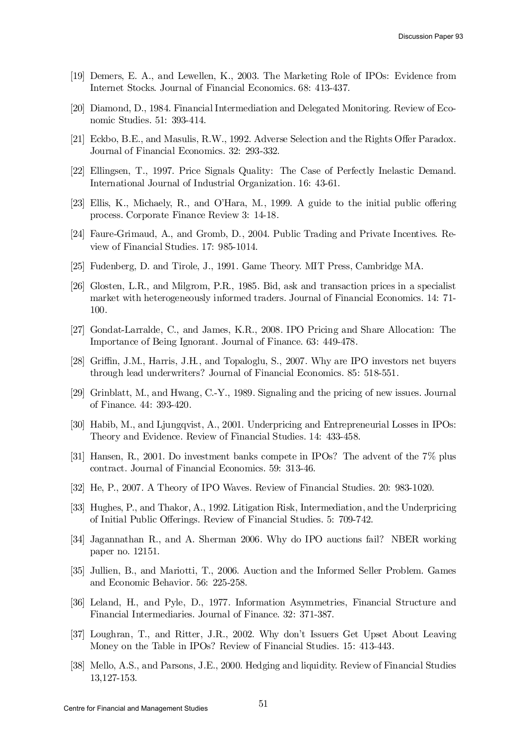- [19] Demers, E. A., and Lewellen, K., 2003. The Marketing Role of IPOs: Evidence from Internet Stocks. Journal of Financial Economics. 68: 413-437.
- [20] Diamond, D., 1984. Financial Intermediation and Delegated Monitoring. Review of Economic Studies. 51: 393-414.
- [21] Eckbo, B.E., and Masulis, R.W., 1992. Adverse Selection and the Rights Offer Paradox. Journal of Financial Economics. 32: 293-332.
- [22] Ellingsen, T., 1997. Price Signals Quality: The Case of Perfectly Inelastic Demand. International Journal of Industrial Organization. 16: 43-61.
- [23] Ellis, K., Michaely, R., and O'Hara, M., 1999. A guide to the initial public offering process. Corporate Finance Review 3: 14-18.
- [24] Faure-Grimaud, A., and Gromb, D., 2004. Public Trading and Private Incentives. Review of Financial Studies. 17: 985-1014.
- [25] Fudenberg, D. and Tirole, J., 1991. Game Theory. MIT Press, Cambridge MA.
- [26] Glosten, L.R., and Milgrom, P.R., 1985. Bid, ask and transaction prices in a specialist market with heterogeneously informed traders. Journal of Financial Economics. 14: 71- 100.
- [27] Gondat-Larralde, C., and James, K.R., 2008. IPO Pricing and Share Allocation: The Importance of Being Ignorant. Journal of Finance. 63: 449-478.
- [28] Griffin, J.M., Harris, J.H., and Topaloglu, S., 2007. Why are IPO investors net buyers through lead underwriters? Journal of Financial Economics. 85: 518-551.
- [29] Grinblatt, M., and Hwang, C.-Y., 1989. Signaling and the pricing of new issues. Journal of Finance. 44: 393-420.
- [30] Habib, M., and Ljungqvist, A., 2001. Underpricing and Entrepreneurial Losses in IPOs: Theory and Evidence. Review of Financial Studies. 14: 433-458.
- [31] Hansen, R., 2001. Do investment banks compete in IPOs? The advent of the 7% plus contract. Journal of Financial Economics. 59: 313-46.
- [32] He, P., 2007. A Theory of IPO Waves. Review of Financial Studies. 20: 983-1020.
- [33] Hughes, P., and Thakor, A., 1992. Litigation Risk, Intermediation, and the Underpricing of Initial Public Offerings. Review of Financial Studies. 5: 709-742.
- [34] Jagannathan R., and A. Sherman 2006. Why do IPO auctions fail? NBER working paper no. 12151.
- [35] Jullien, B., and Mariotti, T., 2006. Auction and the Informed Seller Problem. Games and Economic Behavior. 56: 225-258.
- [36] Leland, H., and Pyle, D., 1977. Information Asymmetries, Financial Structure and Financial Intermediaries. Journal of Finance. 32: 371-387.
- [37] Loughran, T., and Ritter, J.R., 2002. Why don't Issuers Get Upset About Leaving Money on the Table in IPOs? Review of Financial Studies. 15: 413-443.
- [38] Mello, A.S., and Parsons, J.E., 2000. Hedging and liquidity. Review of Financial Studies 13,127-153.